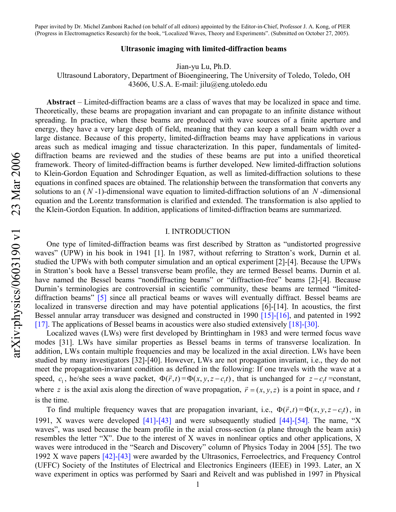#### **Ultrasonic imaging with limited-diffraction beams**

Jian-yu Lu, Ph.D.

Ultrasound Laboratory, Department of Bioengineering, The University of Toledo, Toledo, OH 43606, U.S.A. E-mail: [jilu@eng.utoledo.edu](mailto:jilu@utoledo.edu)

**Abstract** – Limited-diffraction beams are a class of waves that may be localized in space and time. Theoretically, these beams are propagation invariant and can propagate to an infinite distance without spreading. In practice, when these beams are produced with wave sources of a finite aperture and energy, they have a very large depth of field, meaning that they can keep a small beam width over a large distance. Because of this property, limited-diffraction beams may have applications in various areas such as medical imaging and tissue characterization. In this paper, fundamentals of limiteddiffraction beams are reviewed and the studies of these beams are put into a unified theoretical framework. Theory of limited-diffraction beams is further developed. New limited-diffraction solutions to Klein-Gordon Equation and Schrodinger Equation, as well as limited-diffraction solutions to these equations in confined spaces are obtained. The relationship between the transformation that converts any solutions to an  $(N-1)$ -dimensional wave equation to limited-diffraction solutions of an  $N$ -dimensional equation and the Lorentz transformation is clarified and extended. The transformation is also applied to the Klein-Gordon Equation. In addition, applications of limited-diffraction beams are summarized.

## I. INTRODUCTION

One type of limited-diffraction beams was first described by Stratton as "undistorted progressive waves" (UPW) in his book in 1941 [\[1\].](#page-16-0) In 1987, without referring to Stratton's work, Durnin et al. studied the UPWs with both computer simulation and an optical experiment [\[2\]-](#page-16-1)[\[4\].](#page-16-2) Because the UPWs in Stratton's book have a Bessel transverse beam profile, they are termed Bessel beams. Durnin et al. have named the Bessel beams "nondiffracting beams" or "diffraction-free" beams [\[2\]](#page-16-1)[-\[4\]](#page-16-2). Because Durnin's terminologies are controversial in scientific community, these beams are termed "limiteddiffraction beams" [\[5\]](#page-16-3) since all practical beams or waves will eventually diffract. Bessel beams are localized in transverse direction and may have potential applications [\[6\]](#page-16-4)[-\[14\]](#page-16-5). In acoustics, the first Bessel annular array transducer was designed and constructed in 1990 [\[15\]-](#page-16-6)[\[16\]](#page-16-7), and patented in 1992 [\[17\].](#page-16-8) The applications of Bessel beams in acoustics were also studied extensively [\[18\]-](#page-16-9)[\[30\].](#page-17-0)

Localized waves (LWs) were first developed by Brinttingham in 1983 and were termed focus wave modes [\[31\]](#page-17-1). LWs have similar properties as Bessel beams in terms of transverse localization. In addition, LWs contain multiple frequencies and may be localized in the axial direction. LWs have been studied by many investigators [\[32\]-](#page-17-2)[\[40\].](#page-17-3) However, LWs are not propagation invariant, i.e., they do not meet the propagation-invariant condition as defined in the following: If one travels with the wave at a speed,  $c_1$ , he/she sees a wave packet,  $\Phi(\vec{r}, t) = \Phi(x, y, z - c_1 t)$ , that is unchanged for  $z - c_1 t$  =constant, where z is the axial axis along the direction of wave propagation,  $\vec{r} = (x, y, z)$  is a point in space, and *t* is the time.

To find multiple frequency waves that are propagation invariant, i.e.,  $\Phi(\vec{r},t) = \Phi(x, y, z - c_1 t)$ , in 1991, X waves were developed [\[41\]](#page-17-4)[-\[43\]](#page-17-5) and were subsequently studied [\[44\]-](#page-18-0)[\[54\].](#page-18-1) The name, "X waves", was used because the beam profile in the axial cross-section (a plane through the beam axis) resembles the letter "X". Due to the interest of X waves in nonlinear optics and other applications, X waves were introduced in the "Search and Discovery" column of Physics Today in 2004 [\[55\].](#page-18-2) The two 1992 X wave papers [\[42\]](#page-17-6)[-\[43\]](#page-17-5) were awarded by the Ultrasonics, Ferroelectrics, and Frequency Control (UFFC) Society of the Institutes of Electrical and Electronics Engineers (IEEE) in 1993. Later, an X wave experiment in optics was performed by Saari and Reivelt and was published in 1997 in Physical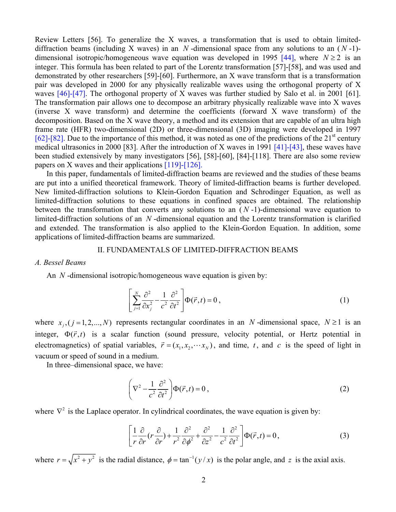Review Letters [\[56\]](#page-18-3). To generalize the X waves, a transformation that is used to obtain limiteddiffraction beams (including X waves) in an  $N$ -dimensional space from any solutions to an  $(N-1)$ -dimensional isotropic/homogeneous wave equation was developed in 1995 [\[44\],](#page-18-0) where  $N \ge 2$  is an integer. This formula has been related to part of the Lorentz transformation [\[57\]](#page-18-4)[-\[58\]](#page-18-5), and was used and demonstrated by other researchers [\[59\]](#page-18-6)-[\[60\].](#page-18-7) Furthermore, an X wave transform that is a transformation pair was developed in 2000 for any physically realizable waves using the orthogonal property of X waves [\[46\]](#page-18-8)[-\[47\]](#page-18-9). The orthogonal property of X waves was further studied by Salo et al. in 2001 [\[61\].](#page-18-10) The transformation pair allows one to decompose an arbitrary physically realizable wave into X waves (inverse X wave transform) and determine the coefficients (forward X wave transform) of the decomposition. Based on the X wave theory, a method and its extension that are capable of an ultra high frame rate (HFR) two-dimensional (2D) or three-dimensional (3D) imaging were developed in 1997 [\[62\]-](#page-18-11)[\[82\].](#page-19-0) Due to the importance of this method, it was noted as one of the predictions of the  $21<sup>st</sup>$  century medical ultrasonics in 2000 [\[83\]](#page-19-1). After the introduction of X waves in 1991 [\[41\]-](#page-17-4)[\[43\],](#page-17-5) these waves have been studied extensively by many investigators [\[56\],](#page-18-3) [\[58\]](#page-18-5)[-\[60\]](#page-18-7), [\[84\]](#page-19-2)[-\[118\]](#page-21-0). There are also some review papers on X waves and their applications [\[119\]](#page-21-1)[-\[126\]](#page-21-2).

In this paper, fundamentals of limited-diffraction beams are reviewed and the studies of these beams are put into a unified theoretical framework. Theory of limited-diffraction beams is further developed. New limited-diffraction solutions to Klein-Gordon Equation and Schrodinger Equation, as well as limited-diffraction solutions to these equations in confined spaces are obtained. The relationship between the transformation that converts any solutions to an  $(N-1)$ -dimensional wave equation to limited-diffraction solutions of an  $N$ -dimensional equation and the Lorentz transformation is clarified and extended. The transformation is also applied to the Klein-Gordon Equation. In addition, some applications of limited-diffraction beams are summarized.

## II. FUNDAMENTALS OF LIMITED-DIFFRACTION BEAMS

### <span id="page-1-0"></span>*A. Bessel Beams*

An *N* -dimensional isotropic/homogeneous wave equation is given by:

$$
\left[\sum_{j=1}^{N} \frac{\partial^2}{\partial x_j^2} - \frac{1}{c^2} \frac{\partial^2}{\partial t^2}\right] \Phi(\vec{r}, t) = 0, \qquad (1)
$$

where  $x_j$ ,  $(j = 1, 2, ..., N)$  represents rectangular coordinates in an N-dimensional space,  $N \ge 1$  is an integer,  $\Phi(\vec{r},t)$  is a scalar function (sound pressure, velocity potential, or Hertz potential in electromagnetics) of spatial variables,  $\vec{r} = (x_1, x_2, \dots, x_N)$ , and time, *t*, and *c* is the speed of light in vacuum or speed of sound in a medium.

In three–dimensional space, we have:

$$
\left(\nabla^2 - \frac{1}{c^2} \frac{\partial^2}{\partial t^2}\right) \Phi(\vec{r}, t) = 0,
$$
\n(2)

<span id="page-1-2"></span><span id="page-1-1"></span>where  $\nabla^2$  is the Laplace operator. In cylindrical coordinates, the wave equation is given by:

$$
\left[\frac{1}{r}\frac{\partial}{\partial r}(r\frac{\partial}{\partial r}) + \frac{1}{r^2}\frac{\partial^2}{\partial \phi^2} + \frac{\partial^2}{\partial z^2} - \frac{1}{c^2}\frac{\partial^2}{\partial t^2}\right] \Phi(\vec{r},t) = 0, \tag{3}
$$

where  $r = \sqrt{x^2 + y^2}$  is the radial distance,  $\phi = \tan^{-1}(y/x)$  is the polar angle, and *z* is the axial axis.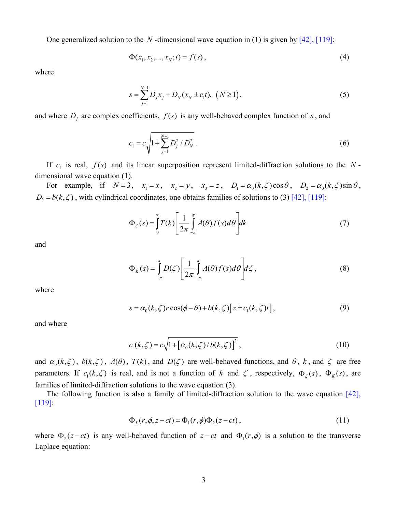One generalized solution to the *N* -dimensional wave equation in [\(1\)](#page-1-0) is given by [\[42\]](#page-17-6), [\[119\]:](#page-21-1)

$$
\Phi(x_1, x_2, ..., x_N; t) = f(s), \tag{4}
$$

<span id="page-2-3"></span><span id="page-2-2"></span>where

$$
s = \sum_{j=1}^{N-1} D_j x_j + D_N (x_N \pm c_1 t), \ (N \ge 1), \tag{5}
$$

and where  $D_i$  are complex coefficients,  $f(s)$  is any well-behaved complex function of  $s$ , and

$$
c_1 = c \sqrt{1 + \sum_{j=1}^{N-1} D_j^2 / D_N^2} \ . \tag{6}
$$

If  $c_1$  is real,  $f(s)$  and its linear superposition represent limited-diffraction solutions to the N dimensional wave equation [\(1\)](#page-1-0).

For example, if  $N = 3$ ,  $x_1 = x$ ,  $x_2 = y$ ,  $x_3 = z$ ,  $D_1 = \alpha_0(k,\zeta)\cos\theta$ ,  $D_2 = \alpha_0(k,\zeta)\sin\theta$ ,  $D_3 = b(k,\zeta)$ , with cylindrical coordinates, one obtains families of solutions to [\(3\)](#page-1-1) [\[42\]](#page-17-6), [\[119\]](#page-21-1):

$$
\Phi_{\zeta}(s) = \int_{0}^{\infty} T(k) \left[ \frac{1}{2\pi} \int_{-\pi}^{\pi} A(\theta) f(s) d\theta \right] dk \tag{7}
$$

<span id="page-2-0"></span>and

$$
\Phi_K(s) = \int_{-\pi}^{\pi} D(\zeta) \left[ \frac{1}{2\pi} \int_{-\pi}^{\pi} A(\theta) f(s) d\theta \right] d\zeta , \qquad (8)
$$

<span id="page-2-1"></span>where

$$
s = \alpha_0(k,\zeta)r\cos(\phi-\theta) + b(k,\zeta)\left[z \pm c_1(k,\zeta)t\right],\tag{9}
$$

and where

$$
c_1(k,\zeta) = c\sqrt{1 + [\alpha_0(k,\zeta)/b(k,\zeta)]^2} \,,
$$
\n(10)

and  $\alpha_0(k,\zeta)$ ,  $b(k,\zeta)$ ,  $A(\theta)$ ,  $T(k)$ , and  $D(\zeta)$  are well-behaved functions, and  $\theta$ ,  $k$ , and  $\zeta$  are free parameters. If  $c_1(k, \zeta)$  is real, and is not a function of *k* and  $\zeta$ , respectively,  $\Phi_{\zeta}(s)$ ,  $\Phi_{\zeta}(s)$ , are families of limited-diffraction solutions to the wave equation [\(3\)](#page-1-1).

The following function is also a family of limited-diffraction solution to the wave equation [\[42\],](#page-17-6) [\[119\]:](#page-21-1)

$$
\Phi_L(r, \phi, z - ct) = \Phi_1(r, \phi)\Phi_2(z - ct), \qquad (11)
$$

where  $\Phi_2(z-ct)$  is any well-behaved function of  $z-ct$  and  $\Phi_1(r, \phi)$  is a solution to the transverse Laplace equation: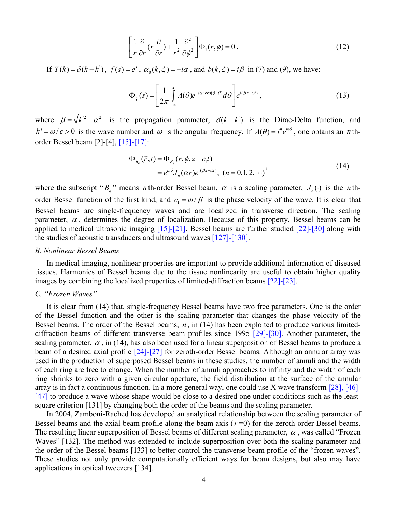$$
\left[\frac{1}{r}\frac{\partial}{\partial r}(r\frac{\partial}{\partial r}) + \frac{1}{r^2}\frac{\partial^2}{\partial \phi^2}\right] \Phi_1(r,\phi) = 0.
$$
 (12)

If  $T(k) = \delta(k - k^{\prime})$ ,  $f(s) = e^{s}$ ,  $\alpha_0(k, \zeta) = -i\alpha$ , and  $b(k, \zeta) = i\beta$  in [\(7\)](#page-2-0) and [\(9\),](#page-2-1) we have:

$$
\Phi_{\zeta}(s) = \left[\frac{1}{2\pi} \int_{-\pi}^{\pi} A(\theta) e^{-i\alpha r \cos(\phi - \theta)} d\theta\right] e^{i(\beta z - \omega t)}, \qquad (13)
$$

where  $\beta = \sqrt{k^2 - \alpha^2}$  is the propagation parameter,  $\delta(k - k)$  is the Dirac-Delta function, and  $k' = \omega/c > 0$  is the wave number and  $\omega$  is the angular frequency. If  $A(\theta) = i^n e^{in\theta}$ , one obtains an *n* thorder Bessel beam [\[2\]-](#page-16-1)[\[4\],](#page-16-2) [\[15\]-](#page-16-6)[\[17\]:](#page-16-8)

$$
\Phi_{B_n}(\vec{r},t) = \Phi_{B_n}(r,\phi,z-c_1t) \n= e^{in\phi} J_n(\alpha r) e^{i(\beta z - \omega t)}, (n = 0,1,2,\cdots)
$$
\n(14)

<span id="page-3-0"></span>where the subscript " $B_n$ " means *n* th-order Bessel beam,  $\alpha$  is a scaling parameter,  $J_n(\cdot)$  is the *n* thorder Bessel function of the first kind, and  $c_1 = \omega/\beta$  is the phase velocity of the wave. It is clear that Bessel beams are single-frequency waves and are localized in transverse direction. The scaling parameter,  $\alpha$ , determines the degree of localization. Because of this property, Bessel beams can be applied to medical ultrasonic imaging [\[15\]](#page-16-6)[-\[21\]](#page-17-7). Bessel beams are further studied [\[22\]-](#page-17-8)[\[30\]](#page-17-0) along with the studies of acoustic transducers and ultrasound waves [\[127\]-](#page-21-3)[\[130\].](#page-21-4)

#### *B. Nonlinear Bessel Beams*

In medical imaging, nonlinear properties are important to provide additional information of diseased tissues. Harmonics of Bessel beams due to the tissue nonlinearity are useful to obtain higher quality images by combining the localized properties of limited-diffraction beams [\[22\]-](#page-17-8)[\[23\].](#page-17-9)

# *C. "Frozen Waves"*

It is clear from [\(14\)](#page-3-0) that, single-frequency Bessel beams have two free parameters. One is the order of the Bessel function and the other is the scaling parameter that changes the phase velocity of the Bessel beams. The order of the Bessel beams, *n* , in [\(14\)](#page-3-0) has been exploited to produce various limiteddiffraction beams of different transverse beam profiles since 1995 [\[29\]](#page-17-10)[-\[30\]](#page-17-0). Another parameter, the scaling parameter,  $\alpha$ , in [\(14\),](#page-3-0) has also been used for a linear superposition of Bessel beams to produce a beam of a desired axial profile [\[24\]-](#page-17-11)[\[27\]](#page-17-12) for zeroth-order Bessel beams. Although an annular array was used in the production of superposed Bessel beams in these studies, the number of annuli and the width of each ring are free to change. When the number of annuli approaches to infinity and the width of each ring shrinks to zero with a given circular aperture, the field distribution at the surface of the annular array is in fact a continuous function. In a more general way, one could use X wave transform [\[28\],](#page-17-13) [\[46\]-](#page-18-8) [\[47\]](#page-18-9) to produce a wave whose shape would be close to a desired one under conditions such as the leastsquare criterion [\[131\]](#page-21-5) by changing both the order of the beams and the scaling parameter.

In 2004, Zamboni-Rached has developed an analytical relationship between the scaling parameter of Bessel beams and the axial beam profile along the beam axis  $(r=0)$  for the zeroth-order Bessel beams. The resulting linear superposition of Bessel beams of different scaling parameter,  $\alpha$ , was called "Frozen Waves" [\[132\].](#page-21-6) The method was extended to include superposition over both the scaling parameter and the order of the Bessel beams [\[133\]](#page-21-7) to better control the transverse beam profile of the "frozen waves". These studies not only provide computationally efficient ways for beam designs, but also may have applications in optical tweezers [\[134\].](#page-21-8)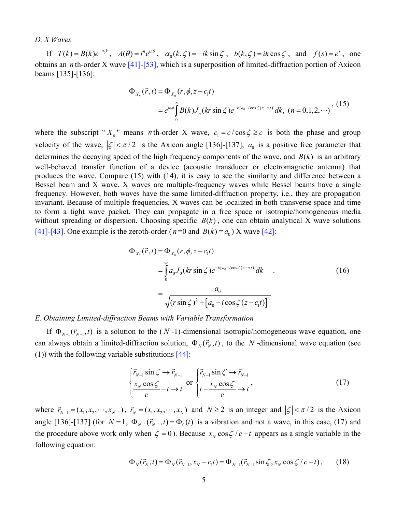## *D. X Waves*

<span id="page-4-0"></span>If  $T(k) = B(k)e^{-a_0 k}$ ,  $A(\theta) = i^n e^{in\theta}$ ,  $\alpha_0(k,\zeta) = -ik \sin \zeta$ ,  $b(k,\zeta) = ik \cos \zeta$ , and  $f(s) = e^s$ , one obtains an *n* th-order X wave [\[41\]-](#page-17-4)[\[53\],](#page-18-12) which is a superposition of limited-diffraction portion of Axicon beams [\[135\]-](#page-21-9)[\[136\]:](#page-21-10)

$$
\Phi_{X_n}(\vec{r},t) = \Phi_{X_n}(r,\phi,z-c_1t)
$$
  
=  $e^{in\phi} \int_0^\infty B(k) J_n(kr\sin\zeta) e^{-k[a_0 - i\cos\zeta(z-c_1 t)]} dk$ ,  $(n = 0,1,2,...)$ , (15)

where the subscript " $X_n$ " means *n* th-order X wave,  $c_1 = c / \cos \zeta \ge c$  is both the phase and group velocity of the wave,  $|\zeta| < \pi/2$  is the Axicon angle [\[136\]](#page-21-10)-[\[137\]](#page-21-11),  $a_0$  is a positive free parameter that determines the decaying speed of the high frequency components of the wave, and  $B(k)$  is an arbitrary well-behaved transfer function of a device (acoustic transducer or electromagnetic antenna) that produces the wave. Compare [\(15\)](#page-4-0) with [\(14\),](#page-3-0) it is easy to see the similarity and difference between a Bessel beam and X wave. X waves are multiple-frequency waves while Bessel beams have a single frequency. However, both waves have the same limited-diffraction property, i.e., they are propagation invariant. Because of multiple frequencies, X waves can be localized in both transverse space and time to form a tight wave packet. They can propagate in a free space or isotropic/homogeneous media without spreading or dispersion. Choosing specific  $B(k)$ , one can obtain analytical X wave solutions [\[41\]-](#page-17-4)[\[43\].](#page-17-5) One example is the zeroth-order ( $n=0$  and  $B(k) = a_0$ ) X wave [\[42\]:](#page-17-6)

$$
\Phi_{X_0}(\vec{r},t) = \Phi_{X_0}(r,\phi,z-c_1t)
$$
\n
$$
= \int_0^{\infty} a_0 J_0(kr\sin\zeta) e^{-k[a_0 - i\cos\zeta(z-c_1t)]} dk
$$
\n
$$
= \frac{a_0}{\sqrt{(r\sin\zeta)^2 + [a_0 - i\cos\zeta(z-c_1t)]^2}}
$$
\n(16)

#### <span id="page-4-3"></span>*E. Obtaining Limited-diffraction Beams with Variable Transformation*

If  $\Phi_{N-1}(\vec{r}_{N-1},t)$  is a solution to the (N-1)-dimensional isotropic/homogeneous wave equation, one can always obtain a limited-diffraction solution,  $\Phi_N(\vec{r}_N, t)$ , to the *N*-dimensional wave equation (see [\(1\)\)](#page-1-0) with the following variable substitutions [\[44\]:](#page-18-0)

$$
\begin{cases}\n\vec{r}_{N-1} \sin \zeta \to \vec{r}_{N-1} \\
\frac{x_N \cos \zeta}{c} - t \to t\n\end{cases} \text{ or } \begin{cases}\n\vec{r}_{N-1} \sin \zeta \to \vec{r}_{N-1} \\
t - \frac{x_N \cos \zeta}{c} \to t\n\end{cases},
$$
\n(17)

<span id="page-4-2"></span><span id="page-4-1"></span>where  $\vec{r}_{N-1} = (x_1, x_2, \dots, x_{N-1})$ ,  $\vec{r}_N = (x_1, x_2, \dots, x_N)$  and  $N \ge 2$  is an integer and  $|\zeta| < \pi/2$  is the Axicon angle [\[136\]-](#page-21-10)[\[137\]](#page-21-11) (for  $N = 1$ ,  $\Phi_{N-1}(\vec{r}_{N-1}, t) = \Phi_0(t)$  is a vibration and not a wave, in this case, [\(17\)](#page-4-1) and the procedure above work only when  $\zeta = 0$ ). Because  $x_N \cos \zeta / c - t$  appears as a single variable in the following equation:

$$
\Phi_N(\vec{r}_N, t) = \Phi_N(\vec{r}_{N-1}, x_N - c_1 t) = \Phi_{N-1}(\vec{r}_{N-1} \sin \zeta, x_N \cos \zeta / c - t), \qquad (18)
$$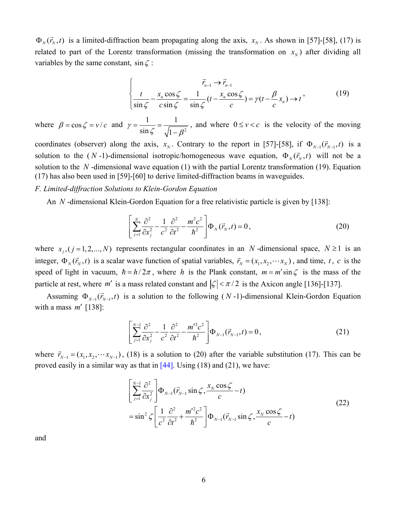$\Phi_N(\vec{r}_N, t)$  is a limited-diffraction beam propagating along the axis,  $x_N$ . As shown in [\[57\]-](#page-18-4)[\[58\],](#page-18-5) [\(17\)](#page-4-1) is related to part of the Lorentz transformation (missing the transformation on  $x<sub>N</sub>$ ) after dividing all variables by the same constant,  $\sin \zeta$ :

$$
\int_{\frac{t}{\sin \zeta} - \frac{x_n \cos \zeta}{c \sin \zeta}} \frac{\vec{r}_{n-1} \to \vec{r}_{n-1}}{\sin \zeta} (t - \frac{x_n \cos \zeta}{c}) = \gamma (t - \frac{\beta}{c} x_n) \to t
$$
\n(19)

<span id="page-5-0"></span>where  $\beta = \cos \zeta = v/c$  and  $\gamma = \frac{1}{\sin \zeta} = \frac{1}{\sqrt{1 - \theta^2}}$ 1 1  $\gamma = \frac{1}{\sin \zeta} = \frac{1}{\sqrt{1 - \beta^2}}$ , and where  $0 \le v < c$  is the velocity of the moving

coordinates (observer) along the axis,  $x_N$ . Contrary to the report in [\[57\]](#page-18-4)[-\[58\],](#page-18-5) if  $\Phi_{N-1}(\vec{r}_{N-1},t)$  is a solution to the  $(N-1)$ -dimensional isotropic/homogeneous wave equation,  $\Phi_N(\vec{r}_N, t)$  will not be a solution to the  $N$ -dimensional wave equation [\(1\)](#page-1-0) with the partial Lorentz transformation [\(19\)](#page-5-0). Equation [\(17\)](#page-4-1) has also been used in [\[59\]](#page-18-6)[-\[60\]](#page-18-7) to derive limited-diffraction beams in waveguides.

## <span id="page-5-1"></span>*F. Limited-diffraction Solutions to Klein-Gordon Equation*

An *N* -dimensional Klein-Gordon Equation for a free relativistic particle is given by [\[138\]](#page-21-12):

$$
\left[\sum_{j=1}^{N} \frac{\partial^2}{\partial x_j^2} - \frac{1}{c^2} \frac{\partial^2}{\partial t^2} - \frac{m^2 c^2}{\hbar^2}\right] \Phi_N(\vec{r}_N, t) = 0, \qquad (20)
$$

where  $x_j$ ,  $(j = 1, 2, ..., N)$  represents rectangular coordinates in an N-dimensional space,  $N \ge 1$  is an integer,  $\Phi_N(\vec{r}_N, t)$  is a scalar wave function of spatial variables,  $\vec{r}_N = (x_1, x_2, \dots, x_N)$ , and time, t, c is the speed of light in vacuum,  $\hbar = h/2\pi$ , where *h* is the Plank constant,  $m = m' \sin \zeta$  is the mass of the particle at rest, where *m'* is a mass related constant and  $|\zeta| < \pi/2$  is the Axicon angle [\[136\]](#page-21-10)[-\[137\]](#page-21-11).

Assuming  $\Phi_{N-1}(\vec{r}_{N-1},t)$  is a solution to the following  $(N-1)$ -dimensional Klein-Gordon Equation with a mass *m*′ [\[138\]:](#page-21-12)

$$
\left[\sum_{j=1}^{N-1} \frac{\partial^2}{\partial x_j^2} - \frac{1}{c^2} \frac{\partial^2}{\partial t^2} - \frac{m'^2 c^2}{\hbar^2}\right] \Phi_{N-1}(\vec{r}_{N-1}, t) = 0, \tag{21}
$$

<span id="page-5-3"></span><span id="page-5-2"></span>where  $\vec{r}_{N-1} = (x_1, x_2, \dots, x_{N-1})$ , [\(18\)](#page-4-2) is a solution to [\(20\)](#page-5-1) after the variable substitution [\(17\).](#page-4-1) This can be proved easily in a similar way as that in  $[44]$ . Using [\(18\)](#page-4-2) and [\(21\),](#page-5-2) we have:

$$
\left[\sum_{j=1}^{N-1} \frac{\partial^2}{\partial x_j^2}\right] \Phi_{N-1}(\vec{r}_{N-1} \sin \zeta, \frac{x_N \cos \zeta}{c} - t)
$$
\n
$$
= \sin^2 \zeta \left[\frac{1}{c^2} \frac{\partial^2}{\partial t^2} + \frac{m'^2 c^2}{\hbar^2}\right] \Phi_{N-1}(\vec{r}_{N-1} \sin \zeta, \frac{x_N \cos \zeta}{c} - t)
$$
\n(22)

and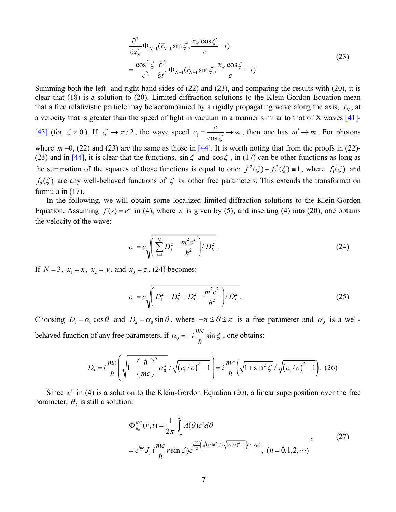$$
\frac{\partial^2}{\partial x_N^2} \Phi_{N-1}(\vec{r}_{N-1} \sin \zeta, \frac{x_N \cos \zeta}{c} - t)
$$
\n
$$
= \frac{\cos^2 \zeta}{c^2} \frac{\partial^2}{\partial t^2} \Phi_{N-1}(\vec{r}_{N-1} \sin \zeta, \frac{x_N \cos \zeta}{c} - t)
$$
\n(23)

<span id="page-6-0"></span>Summing both the left- and right-hand sides of [\(22\)](#page-5-3) and [\(23\)](#page-6-0), and comparing the results with [\(20\),](#page-5-1) it is clear that [\(18\)](#page-4-2) is a solution to [\(20\)](#page-5-1). Limited-diffraction solutions to the Klein-Gordon Equation mean that a free relativistic particle may be accompanied by a rigidly propagating wave along the axis,  $x<sub>N</sub>$ , at a velocity that is greater than the speed of light in vacuum in a manner similar to that of X waves [\[41\]-](#page-17-4)

[\[43\]](#page-17-5) (for  $\zeta \neq 0$ ). If  $|\zeta| \rightarrow \pi/2$ , the wave speed  $c_1 = \frac{c}{\cos \theta}$  $c_1 = \frac{c}{\cos \zeta} \rightarrow \infty$ , then one has  $m' \rightarrow m$ . For photons

where  $m=0$ , [\(22\)](#page-5-3) and [\(23\)](#page-6-0) are the same as those in  $[44]$ . It is worth noting that from the proofs in [\(22\)](#page-5-3)-[\(23\)](#page-6-0) and in [\[44\],](#page-18-0) it is clear that the functions,  $\sin \zeta$  and  $\cos \zeta$ , in [\(17\)](#page-4-1) can be other functions as long as the summation of the squares of those functions is equal to one:  $f_1^2(\zeta) + f_2^2(\zeta) \equiv 1$ , where  $f_1(\zeta)$  and  $f_2(\zeta)$  are any well-behaved functions of  $\zeta$  or other free parameters. This extends the transformation formula in [\(17\)](#page-4-1).

In the following, we will obtain some localized limited-diffraction solutions to the Klein-Gordon Equation. Assuming  $f(s) = e^s$  in [\(4\)](#page-2-2), where *s* is given by [\(5\),](#page-2-3) and inserting [\(4\)](#page-2-2) into [\(20\)](#page-5-1), one obtains the velocity of the wave:

$$
c_1 = c \sqrt{\left(\sum_{j=1}^{N} D_j^2 - \frac{m^2 c^2}{\hbar^2}\right) / D_N^2} \ . \tag{24}
$$

<span id="page-6-1"></span>If  $N = 3$ ,  $x_1 = x$ ,  $x_2 = y$ , and  $x_3 = z$ , [\(24\)](#page-6-1) becomes:

$$
c_1 = c \sqrt{\left(D_1^2 + D_2^2 + D_3^2 - \frac{m^2 c^2}{\hbar^2}\right) / D_3^2} \ . \tag{25}
$$

Choosing  $D_1 = \alpha_0 \cos \theta$  and  $D_2 = \alpha_0 \sin \theta$ , where  $-\pi \le \theta \le \pi$  is a free parameter and  $\alpha_0$  is a wellbehaved function of any free parameters, if  $\alpha_0 = -i \frac{mc}{\hbar} \sin \zeta$ , one obtains:

<span id="page-6-3"></span>
$$
D_3 = i \frac{mc}{\hbar} \left( \sqrt{1 - \left(\frac{\hbar}{mc}\right)^2 \alpha_0^2} / \sqrt{\left(c_1/c\right)^2 - 1} \right) = i \frac{mc}{\hbar} \left( \sqrt{1 + \sin^2 \zeta} / \sqrt{\left(c_1/c\right)^2 - 1} \right). (26)
$$

<span id="page-6-2"></span>Since  $e^s$  in [\(4\)](#page-2-2) is a solution to the Klein-Gordon Equation [\(20\)](#page-5-1), a linear superposition over the free parameter,  $\theta$ , is still a solution:

$$
\Phi_{B_n}^{KG}(\vec{r},t) = \frac{1}{2\pi} \int_{-\pi}^{\pi} A(\theta)e^{s} d\theta
$$
\n
$$
= e^{in\phi} J_n(\frac{mc}{\hbar}r\sin\zeta) e^{i\frac{mc}{\hbar}(\sqrt{1+\sin^2\zeta}/\sqrt{(c_1/c)^2-1})(z-c_1t)}, \quad (n = 0,1,2,\cdots)
$$
\n(27)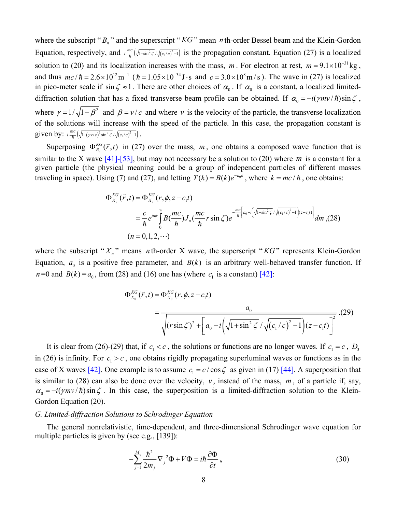where the subscript " $B_n$ " and the superscript " $KG$ " mean *n* th-order Bessel beam and the Klein-Gordon Equation, respectively, and  $\lim_{n \to \infty} \left( \sqrt{\frac{\left( c_1/c \right)^2 - 1}{n}} \right)$  is the propagation constant. Equation [\(27\)](#page-6-2) is a localized solution to [\(20\)](#page-5-1) and its localization increases with the mass, m. For electron at rest,  $m = 9.1 \times 10^{-31}$  kg, and thus  $mc/h = 2.6 \times 10^{12} \text{ m}^{-1}$  ( $\hbar = 1.05 \times 10^{-34} \text{ J} \cdot \text{s}$  and  $c = 3.0 \times 10^8 \text{ m/s}$ ). The wave in [\(27\)](#page-6-2) is localized in pico-meter scale if sin  $\zeta \approx 1$ . There are other choices of  $\alpha_0$ . If  $\alpha_0$  is a constant, a localized limiteddiffraction solution that has a fixed transverse beam profile can be obtained. If  $\alpha_0 = -i(\gamma mv/\hbar)\sin\zeta$ , where  $\gamma = 1/\sqrt{1-\beta^2}$  and  $\beta = v/c$  and where *v* is the velocity of the particle, the transverse localization of the solutions will increase with the speed of the particle. In this case, the propagation constant is given by:  $i \frac{mc}{\hbar} \left( \sqrt{1 + (\gamma v/c)^2 \sin^2 \zeta} / \sqrt{(c_1/c)^2 - 1} \right)$ .

<span id="page-7-0"></span>Superposing  $\Phi_{B_n}^{KG}(\vec{r},t)$  in [\(27\)](#page-6-2) over the mass, m, one obtains a composed wave function that is similar to the X wave  $[41]$ -[\[53\],](#page-18-12) but may not necessary be a solution to [\(20\)](#page-5-1) where m is a constant for a given particle (the physical meaning could be a group of independent particles of different masses traveling in space). Using [\(7\)](#page-2-0) and [\(27\),](#page-6-2) and letting  $T(k) = B(k)e^{-a_0 k}$ , where  $k = mc/\hbar$ , one obtains:

$$
\Phi_{X_n}^{KG}(\vec{r},t) = \Phi_{X_n}^{KG}(r,\phi,z-c_1t)
$$
\n
$$
= \frac{c}{\hbar} e^{in\phi} \int_0^{\infty} B(\frac{mc}{\hbar}) J_n(\frac{mc}{\hbar}r \sin \zeta) e^{-\frac{mc}{\hbar} \left[a_0 - i\left(\sqrt{1+\sin^2 \zeta} / \sqrt{(c_1/c)^2 - 1}\right)(z-c_1t)\right]} dm, (28)
$$
\n
$$
(n = 0,1,2,\cdots)
$$

<span id="page-7-1"></span>where the subscript " $X_n$ " means *n* th-order X wave, the superscript " $KG$ " represents Klein-Gordon Equation,  $a_0$  is a positive free parameter, and  $B(k)$  is an arbitrary well-behaved transfer function. If  $n=0$  and  $B(k) = a_0$ , from [\(28\)](#page-7-0) and [\(16\)](#page-4-3) one has (where  $c_1$  is a constant) [\[42\]](#page-17-6):

$$
\Phi_{X_0}^{KG}(\vec{r},t) = \Phi_{X_0}^{KG}(r,\phi,z-c_1t)
$$
\n
$$
= \frac{a_0}{\sqrt{(r\sin\zeta)^2 + \left[a_0 - i\left(\sqrt{1+\sin^2\zeta}/\sqrt{(c_1/c)^2 - 1}\right)(z-c_1t)\right]^2}}.(29)
$$

It is clear from [\(26\)](#page-6-3)[-\(29\)](#page-7-1) that, if  $c_1 < c$ , the solutions or functions are no longer waves. If  $c_1 = c$ ,  $D_3$ in [\(26\)](#page-6-3) is infinity. For  $c_1 > c$ , one obtains rigidly propagating superluminal waves or functions as in the case of X waves [\[42\].](#page-17-6) One example is to assume  $c_1 = c / \cos \zeta$  as given in [\(17\)](#page-4-1) [\[44\]](#page-18-0). A superposition that is similar to [\(28\)](#page-7-0) can also be done over the velocity,  $v$ , instead of the mass,  $m$ , of a particle if, say,  $\alpha_0 = -i(\gamma mv/\hbar)\sin\zeta$ . In this case, the superposition is a limited-diffraction solution to the Klein-Gordon Equation [\(20\).](#page-5-1)

# *G. Limited-diffraction Solutions to Schrodinger Equation*

<span id="page-7-2"></span>The general nonrelativistic, time-dependent, and three-dimensional Schrodinger wave equation for multiple particles is given by (see e.g., [\[139\]\)](#page-22-0):

$$
-\sum_{j=1}^{M} \frac{\hbar^2}{2m_j} \nabla_j^2 \Phi + V \Phi = i\hbar \frac{\partial \Phi}{\partial t},
$$
\n(30)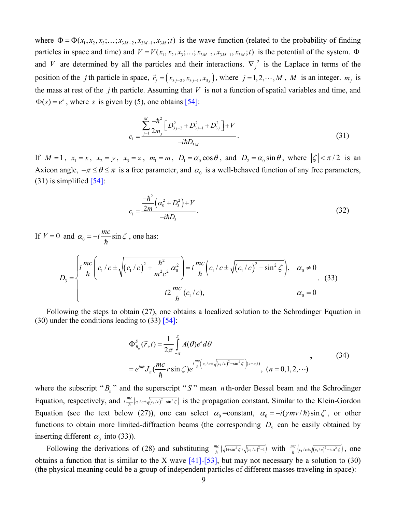where  $\Phi = \Phi(x_1, x_2, x_3; \dots; x_{3M-2}, x_{3M-1}, x_{3M}; t)$  is the wave function (related to the probability of finding particles in space and time) and  $V = V(x_1, x_2, x_3; \dots; x_{3M-2}, x_{3M-1}, x_{3M}; t)$  is the potential of the system.  $\Phi$ and *V* are determined by all the particles and their interactions.  $\nabla_i^2$  is the Laplace in terms of the position of the *j* th particle in space,  $\vec{r}_j = (x_{3j-2}, x_{3j-1}, x_{3j})$ , where  $j = 1, 2, \dots, M$ , *M* is an integer.  $m_j$  is the mass at rest of the *j* th particle. Assuming that *V* is not a function of spatial variables and time, and  $\Phi(s) = e^s$ , where *s* is given by [\(5\)](#page-2-3), one obtains [\[54\]:](#page-18-1)

$$
c_{1} = \frac{\sum_{j=1}^{M} \frac{-\hbar^{2}}{2m_{j}} \left[ D_{3j-2}^{2} + D_{3j-1}^{2} + D_{3j}^{2} \right] + V}{-i\hbar D_{3M}}.
$$
\n(31)

<span id="page-8-0"></span>If  $M = 1$ ,  $x_1 = x$ ,  $x_2 = y$ ,  $x_3 = z$ ,  $m_1 = m$ ,  $D_1 = \alpha_0 \cos \theta$ , and  $D_2 = \alpha_0 \sin \theta$ , where  $|\zeta| < \pi/2$  is an Axicon angle,  $-\pi \le \theta \le \pi$  is a free parameter, and  $\alpha_0$  is a well-behaved function of any free parameters,  $(31)$  is simplified [\[54\]:](#page-18-1)

$$
c_1 = \frac{-\hbar^2}{2m} \left( \alpha_0^2 + D_3^2 \right) + V
$$
  
-*i*hD<sub>3</sub> (32)

If  $V = 0$  and  $\alpha_0 = -i \frac{mc}{\hbar} \sin \zeta$ , one has:

<span id="page-8-1"></span>
$$
D_3 = \begin{cases} i \frac{mc}{\hbar} \left( c_1/c \pm \sqrt{(c_1/c)^2 + \frac{\hbar^2}{m^2 c^2} \alpha_0^2} \right) = i \frac{mc}{\hbar} \left( c_1/c \pm \sqrt{(c_1/c)^2 - \sin^2 \zeta} \right), & \alpha_0 \neq 0 \\ i 2 \frac{mc}{\hbar} (c_1/c), & \alpha_0 = 0 \end{cases}
$$
 (33)

<span id="page-8-2"></span>Following the steps to obtain [\(27\),](#page-6-2) one obtains a localized solution to the Schrodinger Equation in  $(30)$  under the conditions leading to  $(33)$  [\[54\]:](#page-18-1)

$$
\Phi_{B_n}^S(\vec{r},t) = \frac{1}{2\pi} \int_{-\pi}^{\pi} A(\theta) e^s d\theta
$$
\n
$$
= e^{in\phi} J_n(\frac{mc}{\hbar}r \sin \zeta) e^{i\frac{mc}{\hbar} \left(c_1/c \pm \sqrt{(c_1/c)^2 - \sin^2 \zeta}\right)(z - c_1 t)}, \quad (n = 0,1,2,\cdots)
$$
\n(34)

where the subscript " $B_n$ " and the superscript "S" mean *n* th-order Bessel beam and the Schrodinger Equation, respectively, and  $\lim_{h \to 0} \left( c_1/c \pm \sqrt{(c_1/c)^2 - \sin^2 \zeta} \right)$  is the propagation constant. Similar to the Klein-Gordon Equation (see the text below [\(27\)](#page-6-2)), one can select  $\alpha_0 = \text{constant}$ ,  $\alpha_0 = -i(\gamma m v/\hbar) \sin \zeta$ , or other functions to obtain more limited-diffraction beams (the corresponding  $D_3$  can be easily obtained by inserting different  $\alpha_0$  into [\(33\)\)](#page-8-1).

Following the derivations of [\(28\)](#page-7-0) and substituting  $\frac{mc}{\hbar}(\sqrt{1+\sin^2{\zeta}}/\sqrt{(c_1/c)^2-1})$  with  $\frac{mc}{\hbar}(c_1/c+\sqrt{(c_1/c)^2-\sin^2{\zeta}})$ , one obtains a function that is similar to the X wave  $[41]$ - $[53]$ , but may not necessary be a solution to [\(30\)](#page-7-2) (the physical meaning could be a group of independent particles of different masses traveling in space):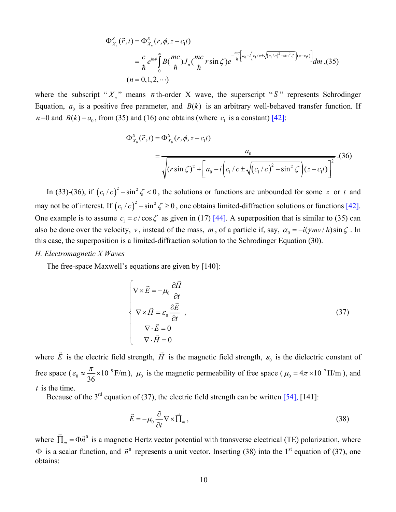$$
\Phi_{X_n}^S(\vec{r},t) = \Phi_{X_n}^S(r,\phi,z-c_1t)
$$
\n
$$
= \frac{c}{\hbar} e^{in\phi} \int_0^{\infty} B(\frac{mc}{\hbar}) J_n(\frac{mc}{\hbar}r \sin \zeta) e^{-\frac{mc}{\hbar} \left[a_0 - i\left(c_1/c \pm \sqrt{(c_1/c)^2 - \sin^2 \zeta}\right)(z-c_1t)\right]} dm, (35)
$$
\n
$$
(n = 0,1,2,\cdots)
$$

<span id="page-9-1"></span><span id="page-9-0"></span>where the subscript " $X_n$ " means *n* th-order X wave, the superscript "S" represents Schrodinger Equation,  $a_0$  is a positive free parameter, and  $B(k)$  is an arbitrary well-behaved transfer function. If  $n=0$  and  $B(k) = a_0$ , from [\(35\)](#page-9-0) and [\(16\)](#page-4-3) one obtains (where  $c_1$  is a constant) [\[42\]:](#page-17-6)

$$
\Phi_{X_0}^S(\vec{r},t) = \Phi_{X_0}^S(r,\phi,z-c_1t)
$$
\n
$$
= \frac{a_0}{\sqrt{(r\sin\zeta)^2 + \left[a_0 - i\left(c_1/c \pm \sqrt{(c_1/c)^2 - \sin^2\zeta}\right)(z-c_1t)\right]^2}}.(36)
$$

In [\(33\)-](#page-8-1)[\(36\),](#page-9-1) if  $(c_1/c)^2 - \sin^2 \zeta < 0$ , the solutions or functions are unbounded for some z or t and may not be of interest. If  $(c_1/c)^2 - \sin^2 \zeta \ge 0$ , one obtains limited-diffraction solutions or functions [\[42\].](#page-17-6) One example is to assume  $c_1 = c / \cos \zeta$  as given in [\(17\)](#page-4-1) [\[44\]](#page-18-0). A superposition that is similar to [\(35\)](#page-9-0) can also be done over the velocity, *v*, instead of the mass, *m*, of a particle if, say,  $\alpha_0 = -i(\gamma mv/\hbar)\sin\zeta$ . In this case, the superposition is a limited-diffraction solution to the Schrodinger Equation [\(30\).](#page-7-2)

#### <span id="page-9-2"></span>*H. Electromagnetic X Waves*

The free-space Maxwell's equations are given by [\[140\]](#page-22-1):

$$
\begin{cases}\n\nabla \times \vec{E} = -\mu_0 \frac{\partial \vec{H}}{\partial t} \\
\nabla \times \vec{H} = \varepsilon_0 \frac{\partial \vec{E}}{\partial t} \\
\nabla \cdot \vec{E} = 0 \\
\nabla \cdot \vec{H} = 0\n\end{cases}
$$
\n(37)

where *E*  $\rightarrow$  is the electric field strength, *H*  $\rightarrow$ is the magnetic field strength,  $\varepsilon_0$  is the dielectric constant of free space ( $\varepsilon_0 \approx \frac{\pi}{36} \times 10^{-9}$  F/m  $\varepsilon_0 \approx \frac{\pi}{26} \times 10^{-9}$  F/m),  $\mu_0$  is the magnetic permeability of free space ( $\mu_0 = 4\pi \times 10^{-7}$  H/m), and  $t$  is the time.

Because of the  $3<sup>rd</sup>$  equation of [\(37\),](#page-9-2) the electric field strength can be written [\[54\]](#page-18-1), [\[141\]](#page-22-2):

$$
\vec{E} = -\mu_0 \frac{\partial}{\partial t} \nabla \times \vec{\Pi}_m, \qquad (38)
$$

<span id="page-9-3"></span>where  $\prod_{m} = \Phi \vec{n}^0$  is a magnetic Hertz vector potential with transverse electrical (TE) polarization, where  $\Phi$  is a scalar function, and  $\vec{n}^0$  represents a unit vector. Inserting [\(38\)](#page-9-3) into the 1<sup>st</sup> equation of [\(37\),](#page-9-2) one  $\vec{\Pi}_m = \Phi \vec{n}$ obtains: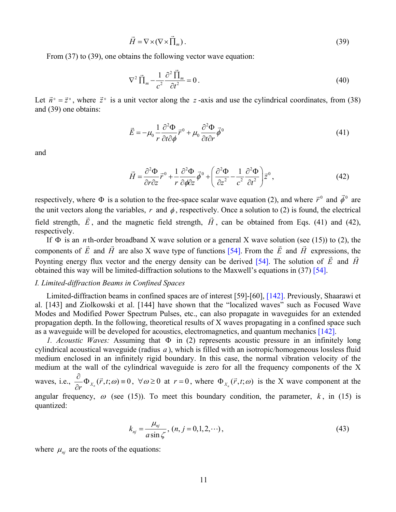$$
\vec{H} = \nabla \times (\nabla \times \vec{\Pi}_m). \tag{39}
$$

<span id="page-10-0"></span>From  $(37)$  to  $(39)$ , one obtains the following vector wave equation:

$$
\nabla^2 \vec{\Pi}_m - \frac{1}{c^2} \frac{\partial^2 \vec{\Pi}_m}{\partial t^2} = 0.
$$
 (40)

Let  $\vec{n}^{\circ} = \vec{z}^{\circ}$ , where  $\vec{z}^{\circ}$  is a unit vector along the z-axis and use the cylindrical coordinates, from [\(38\)](#page-9-3) and [\(39\)](#page-10-0) one obtains:

$$
\vec{E} = -\mu_0 \frac{1}{r} \frac{\partial^2 \Phi}{\partial t \partial \phi} \vec{r}^0 + \mu_0 \frac{\partial^2 \Phi}{\partial t \partial r} \vec{\phi}^0
$$
(41)

<span id="page-10-2"></span><span id="page-10-1"></span>and

$$
\vec{H} = \frac{\partial^2 \Phi}{\partial r \partial z} \vec{r}^0 + \frac{1}{r} \frac{\partial^2 \Phi}{\partial \phi \partial z} \vec{\phi}^0 + \left( \frac{\partial^2 \Phi}{\partial z^2} - \frac{1}{c^2} \frac{\partial^2 \Phi}{\partial t^2} \right) \vec{z}^0, \tag{42}
$$

respectively, where  $\Phi$  is a solution to the free-space scalar wave equation [\(2\)](#page-1-2), and where  $\vec{r}^0$  and  $\vec{\phi}^0$  are the unit vectors along the variables,  $r$  and  $\phi$ , respectively. Once a solution to [\(2\)](#page-1-2) is found, the electrical field strength, *E*  $\ddot{\phantom{0}}$ , and the magnetic field strength, *H*  $\ddot{\phantom{0}}$ , can be obtained from Eqs. [\(41\)](#page-10-1) and [\(42\),](#page-10-2) respectively.

If Φ is an *n* th-order broadband X wave solution or a general X wave solution (see [\(15\)\)](#page-4-0) to [\(2\),](#page-1-2) the components of *E*  $\overline{a}$  and *H*  $\frac{1}{\epsilon}$  are also X wave type of functions [\[54\].](#page-18-1) From the *E*  $\frac{1}{1}$  and *H*  $\frac{1}{1}$ expressions, the Poynting energy flux vector and the energy density can be derived [\[54\]](#page-18-1). The solution of *E* and *H* obtained this way will be limited-diffraction solutions to the Maxwell's equations in [\(37\)](#page-9-2) [\[54\]](#page-18-1).

#### *I. Limited-diffraction Beams in Confined Spaces*

Limited-diffraction beams in confined spaces are of interest [\[59\]](#page-18-6)[-\[60\]](#page-18-7), [\[142\]](#page-22-3). Previously, Shaarawi et al. [\[143\]](#page-22-4) and Ziolkowski et al. [\[144\]](#page-22-5) have shown that the "localized waves" such as Focused Wave Modes and Modified Power Spectrum Pulses, etc., can also propagate in waveguides for an extended propagation depth. In the following, theoretical results of X waves propagating in a confined space such as a waveguide will be developed for acoustics, electromagnetics, and quantum mechanics [\[142\].](#page-22-3)

*1. Acoustic Waves:* Assuming that Φ in [\(2\)](#page-1-2) represents acoustic pressure in an infinitely long cylindrical acoustical waveguide (radius  $a$ ), which is filled with an isotropic/homogeneous lossless fluid medium enclosed in an infinitely rigid boundary. In this case, the normal vibration velocity of the medium at the wall of the cylindrical waveguide is zero for all the frequency components of the X waves, i.e.,  $\frac{\partial}{\partial r} \Phi_{X_n}(\vec{r}, t; \omega) = 0$  $\frac{\partial}{\partial r}\Phi_{x_n}(\vec{r},t;\omega) = 0$ ,  $\forall \omega \ge 0$  at  $r = 0$ , where  $\Phi_{x_n}(\vec{r},t;\omega)$  is the X wave component at the angular frequency,  $\omega$  (see [\(15\)\)](#page-4-0). To meet this boundary condition, the parameter,  $k$ , in [\(15\)](#page-4-0) is quantized:

$$
k_{nj} = \frac{\mu_{nj}}{a \sin \zeta}, (n, j = 0, 1, 2, \cdots),
$$
\n(43)

<span id="page-10-3"></span>where  $\mu_{ni}$  are the roots of the equations: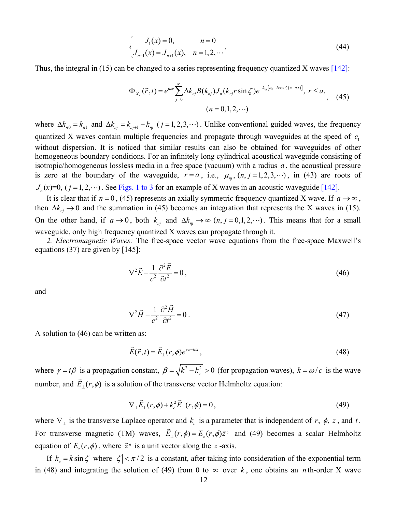$$
\begin{cases}\nJ_1(x) = 0, & n = 0 \\
J_{n-1}(x) = J_{n+1}(x), & n = 1, 2, \dots\n\end{cases}
$$
\n(44)

<span id="page-11-0"></span>Thus, the integral in [\(15\)](#page-4-0) can be changed to a series representing frequency quantized X waves [\[142\]](#page-22-3):

$$
\Phi_{X_n}(\vec{r},t) = e^{in\phi} \sum_{j=0}^{\infty} \Delta k_{nj} B(k_{nj}) J_n(k_{nj} r \sin \zeta) e^{-k_{nj}[a_0 - i \cos \zeta(z - c_1 t)]}, \ r \le a,
$$
\n
$$
(n = 0,1,2,\cdots)
$$
\n(45)

where  $\Delta k_{n0} = k_{n1}$  and  $\Delta k_{nj} = k_{nj+1} - k_{nj}$  (*j* = 1, 2, 3, ···). Unlike conventional guided waves, the frequency quantized X waves contain multiple frequencies and propagate through waveguides at the speed of  $c_1$ without dispersion. It is noticed that similar results can also be obtained for waveguides of other homogeneous boundary conditions. For an infinitely long cylindrical acoustical waveguide consisting of isotropic/homogeneous lossless media in a free space (vacuum) with a radius *a* , the acoustical pressure is zero at the boundary of the waveguide,  $r = a$ , i.e.,  $\mu_{nj}$ ,  $(n, j = 1, 2, 3, \cdots)$ , in [\(43\)](#page-10-3) are roots of  $J_n(x)=0$ ,  $(j=1,2,\dots)$ . See Figs. 1 to 3 for an example of X waves in an acoustic waveguide [\[142\].](#page-22-3)

It is clear that if  $n = 0$ , [\(45\)](#page-11-0) represents an axially symmetric frequency quantized X wave. If  $a \rightarrow \infty$ , then  $\Delta k_{nj} \rightarrow 0$  and the summation in [\(45\)](#page-11-0) becomes an integration that represents the X waves in [\(15\).](#page-4-0) On the other hand, if  $a \to 0$ , both  $k_{ni}$  and  $\Delta k_{ni} \to \infty$   $(n, j = 0, 1, 2, \cdots)$ . This means that for a small waveguide, only high frequency quantized X waves can propagate through it.

<span id="page-11-1"></span>*2. Electromagnetic Waves:* The free-space vector wave equations from the free-space Maxwell's equations [\(37\)](#page-9-2) are given by [\[145\]](#page-22-6):

$$
\nabla^2 \vec{E} - \frac{1}{c^2} \frac{\partial^2 \vec{E}}{\partial t^2} = 0,
$$
\n(46)

and

$$
\nabla^2 \vec{H} - \frac{1}{c^2} \frac{\partial^2 \vec{H}}{\partial t^2} = 0 \tag{47}
$$

<span id="page-11-3"></span>A solution to [\(46\)](#page-11-1) can be written as:

$$
\vec{E}(\vec{r},t) = \vec{E}_{\perp}(r,\phi)e^{\gamma z - i\omega t},\tag{48}
$$

where  $\gamma = i\beta$  is a propagation constant,  $\beta = \sqrt{k^2 - k_c^2} > 0$  (for propagation waves),  $k = \omega/c$  is the wave number, and  $\vec{E}_\perp(r,\phi)$  is a solution of the transverse vector Helmholtz equation:

$$
\nabla_{\perp} \vec{E}_{\perp}(r,\phi) + k_c^2 \vec{E}_{\perp}(r,\phi) = 0, \qquad (49)
$$

<span id="page-11-2"></span>where  $\nabla_{\perp}$  is the transverse Laplace operator and  $k_c$  is a parameter that is independent of  $r, \phi, z$ , and  $t$ . For transverse magnetic (TM) waves,  $\vec{E}_\perp(r,\phi) = E_z(r,\phi)\vec{z}$ <sup>0</sup> and [\(49\)](#page-11-2) becomes a scalar Helmholtz equation of  $E_z(r, \phi)$ , where  $\vec{z}^{\,0}$  is a unit vector along the *z*-axis.

If  $k_c = k \sin \zeta$  where  $|\zeta| < \pi/2$  is a constant, after taking into consideration of the exponential term in [\(48\)](#page-11-3) and integrating the solution of [\(49\)](#page-11-2) from 0 to  $\infty$  over k, one obtains an *n* th-order X wave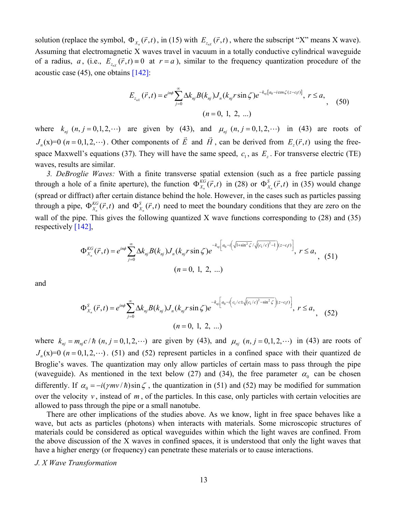solution (replace the symbol,  $\Phi_{X_n}(\vec{r},t)$ , in [\(15\)](#page-4-0) with  $E_{z_n(\vec{r},t)}$ , where the subscript "X" means X wave). Assuming that electromagnetic X waves travel in vacuum in a totally conductive cylindrical waveguide of a radius, *a*, (i.e.,  $E_{z}(\vec{r},t) = 0$  at  $r = a$ ), similar to the frequency quantization procedure of the acoustic case [\(45\),](#page-11-0) one obtains [\[142\]:](#page-22-3)

$$
E_{z_{nX}}(\vec{r},t) = e^{in\phi} \sum_{j=0}^{\infty} \Delta k_{nj} B(k_{nj}) J_n(k_{nj} r \sin \zeta) e^{-k_{nj}[a_0 - i \cos \zeta (z - c_1 t)]}, \ r \le a,
$$
  
( $n = 0, 1, 2, ...$ ) (50)

where  $k_{nj}$   $(n, j = 0, 1, 2, \cdots)$  are given by [\(43\),](#page-10-3) and  $\mu_{nj}$   $(n, j = 0, 1, 2, \cdots)$  in [\(43\)](#page-10-3) are roots of  $J_n(x)=0$  ( $n = 0,1,2,\dots$ ). Other components of  $\vec{E}$  $\rightarrow$  and *H*  $\rightarrow$ , can be derived from  $E_z(\vec{r}, t)$  using the free-space Maxwell's equations [\(37\)](#page-9-2). They will have the same speed,  $c_1$ , as  $E_z$ . For transverse electric (TE) waves, results are similar.

*3. DeBroglie Waves:* With a finite transverse spatial extension (such as a free particle passing through a hole of a finite aperture), the function  $\Phi_{X_n}^{KG}(\vec{r},t)$  in [\(28\)](#page-7-0) or  $\Phi_{X_n}^S(\vec{r},t)$  $\Phi_{X_n}^S(\vec{r},t)$  in [\(35\)](#page-9-0) would change (spread or diffract) after certain distance behind the hole. However, in the cases such as particles passing through a pipe,  $\Phi_{X_n}^{KG}(\vec{r},t)$  and  $\Phi_{X_n}^{S}(\vec{r},t)$  need to meet the boundary conditions that they are zero on the wall of the pipe. This gives the following quantized X wave functions corresponding to [\(28\)](#page-7-0) and [\(35\)](#page-9-0)  $\Phi_{X_n}^S(\vec{r},t)$ respectively [\[142\],](#page-22-3)

$$
\Phi_{X_n}^{KG}(\vec{r},t) = e^{in\phi} \sum_{j=0}^{\infty} \Delta k_{nj} B(k_{nj}) J_n(k_{nj} r \sin \zeta) e^{-k_{nj} \left[a_0 - i\left(\sqrt{1+\sin^2 \zeta}/\sqrt{(c_1/c)^2 - 1}\right)(z - c_1 t)\right]}, \ r \le a, \tag{51}
$$
\n
$$
(n = 0, 1, 2, ...)
$$

<span id="page-12-1"></span><span id="page-12-0"></span>and

$$
\Phi_{X_n}^S(\vec{r},t) = e^{in\phi} \sum_{j=0}^{\infty} \Delta k_{nj} B(k_{nj}) J_n(k_{nj} r \sin \zeta) e^{-k_{nj} \left[a_0 - i\left(c_1/c \pm \sqrt{(c_1/c)^2 - \sin^2 \zeta}\right)(z - c_1 t)\right]}, \ r \le a, \qquad (52)
$$
\n
$$
(n = 0, 1, 2, ...)
$$

where  $k_{ni} = m_{ni} c / \hbar (n, j = 0, 1, 2, \cdots)$  are given by [\(43\),](#page-10-3) and  $\mu_{ni} (n, j = 0, 1, 2, \cdots)$  in [\(43\)](#page-10-3) are roots of  $J_n(x)=0$   $(n=0,1,2,\dots)$ . [\(51\)](#page-12-0) and [\(52\)](#page-12-1) represent particles in a confined space with their quantized de Broglie's waves. The quantization may only allow particles of certain mass to pass through the pipe (waveguide). As mentioned in the text below [\(27\)](#page-6-2) and [\(34\)](#page-8-2), the free parameter  $\alpha_0$  can be chosen differently. If  $\alpha_0 = -i(\gamma mv/\hbar)\sin\zeta$ , the quantization in [\(51\)](#page-12-0) and [\(52\)](#page-12-1) may be modified for summation over the velocity  $v$ , instead of  $m$ , of the particles. In this case, only particles with certain velocities are allowed to pass through the pipe or a small nanotube.

There are other implications of the studies above. As we know, light in free space behaves like a wave, but acts as particles (photons) when interacts with materials. Some microscopic structures of materials could be considered as optical waveguides within which the light waves are confined. From the above discussion of the X waves in confined spaces, it is understood that only the light waves that have a higher energy (or frequency) can penetrate these materials or to cause interactions.

*J. X Wave Transformation*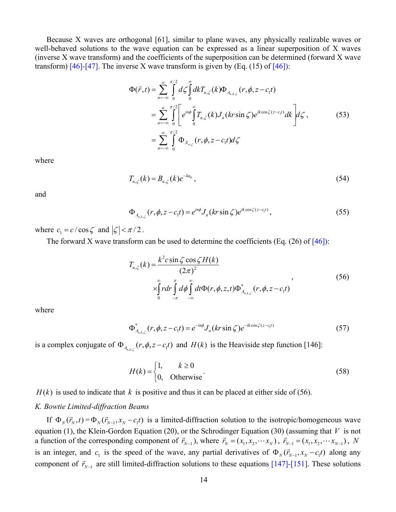Because X waves are orthogonal [\[61\],](#page-18-10) similar to plane waves, any physically realizable waves or well-behaved solutions to the wave equation can be expressed as a linear superposition of X waves (inverse X wave transform) and the coefficients of the superposition can be determined (forward X wave transform)  $[46]$ - $[47]$ . The inverse X wave transform is given by (Eq. (15) of  $[46]$ ):

$$
\Phi(\vec{r},t) = \sum_{n=-\infty}^{\infty} \int_{0}^{\pi/2} d\zeta \int_{0}^{\infty} dk T_{n,\zeta}(k) \Phi_{A_{n,k,\zeta}}(r,\phi,z-c_{1}t)
$$
  
\n
$$
= \sum_{n=-\infty}^{\infty} \int_{0}^{\pi/2} \left[ e^{in\phi} \int_{0}^{\infty} T_{n,\zeta}(k) J_{n}(kr \sin \zeta) e^{ik \cos \zeta(z-c_{1}t)} dk \right] d\zeta,
$$
(53)  
\n
$$
= \sum_{n=-\infty}^{\infty} \int_{0}^{\pi/2} \Phi_{X_{n,\zeta}}(r,\phi,z-c_{1}t) d\zeta
$$

where

$$
T_{n,\zeta}(k) = B_{n,\zeta}(k)e^{-ka_0}, \qquad (54)
$$

and

$$
\Phi_{A_{n,k,\zeta}}(r,\phi,z-c_1t) = e^{in\phi}J_n(kr\sin\zeta)e^{ik\cos\zeta(z-c_1t)},\qquad(55)
$$

<span id="page-13-0"></span>where  $c_1 = c / \cos \zeta$  and  $|\zeta| < \pi/2$ .

The forward X wave transform can be used to determine the coefficients (Eq.  $(26)$  of [\[46\]](#page-18-8)):

$$
T_{n,\zeta}(k) = \frac{k^2 c \sin \zeta \cos \zeta H(k)}{(2\pi)^2}
$$
  
 
$$
\times \int_{0}^{\infty} r dr \int_{-\pi}^{\pi} d\phi \int_{-\infty}^{\infty} dt \Phi(r, \phi, z, t) \Phi_{A_{n,k,\zeta}}^{*}(r, \phi, z - c_1 t)
$$
 (56)

where

$$
\Phi_{A_{n,k,\zeta}}^*(r,\phi,z-c_1t) = e^{-in\phi}J_n(kr\sin\zeta)e^{-ik\cos\zeta(z-c_1t)}
$$
\n(57)

is a complex conjugate of  $\Phi_{A_{n,k,\zeta}}(r, \phi, z - c_1 t)$  and  $H(k)$  is the Heaviside step function [\[146\]](#page-22-7):

$$
H(k) = \begin{cases} 1, & k \ge 0 \\ 0, & \text{Otherwise} \end{cases}
$$
 (58)

 $H(k)$  is used to indicate that k is positive and thus it can be placed at either side of [\(56\).](#page-13-0)

### *K. Bowtie Limited-diffraction Beams*

If  $\Phi_N(\vec{r}_N,t) = \Phi_N(\vec{r}_{N-1},x_N - c_1t)$  is a limited-diffraction solution to the isotropic/homogeneous wave equation [\(1\),](#page-1-0) the Klein-Gordon Equation [\(20\),](#page-5-1) or the Schrodinger Equation [\(30\)](#page-7-2) (assuming that *V* is not a function of the corresponding component of  $\vec{r}_{N-1}$ ), where  $\vec{r}_N = (x_1, x_2, \dots, x_N)$ ,  $\vec{r}_{N-1} = (x_1, x_2, \dots, x_{N-1})$ , N is an integer, and  $c_1$  is the speed of the wave, any partial derivatives of  $\Phi_N(\vec{r}_{N-1}, x_N - c_1 t)$  along any component of  $\vec{r}_{N-1}$  are still limited-diffraction solutions to these equations [\[147\]-](#page-22-8)[\[151\].](#page-22-9) These solutions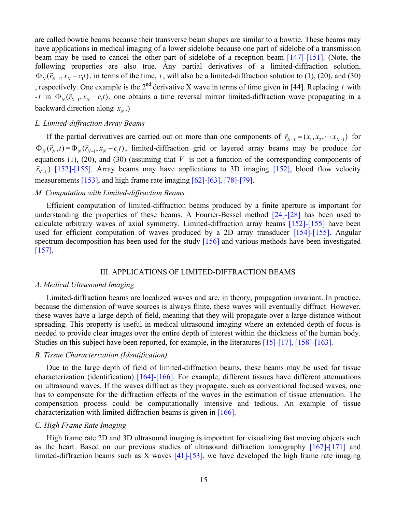following properties are also true. Any partial derivatives of a limited-diffraction solution,  $\Phi_N(\vec{r}_{N-1}, x_N - c_1 t)$ , in terms of the time, *t*, will also be a limited-diffraction solution to [\(1\)](#page-1-0), [\(20\)](#page-5-1), and [\(30\)](#page-7-2)  $-t$  in  $\Phi_N(\vec{r}_{N-1}, x_N - c_1 t)$ , one obtains a time reversal mirror limited-diffraction wave propagating in a are called bowtie beams because their transverse beam shapes are similar to a bowtie. These beams may have applications in medical imaging of a lower sidelobe because one part of sidelobe of a transmission beam may be used to cancel the other part of sidelobe of a reception beam [\[147\]-](#page-22-8)[\[151\].](#page-22-9) (Note, the following properties are also true. Any partial derivatives of a limited-diffraction solution, , respectively. One example is the  $2<sup>nd</sup>$  derivative X wave in terms of time given in [\[44\]](#page-18-0). Replacing t with backward direction along  $x_N$ .)

#### *L. Limited-diffraction Array Beams*

If the partial derivatives are carried out on more than one components of  $\vec{r}_{N-1} = (x_1, x_2, \dots, x_{N-1})$  for  $\Phi_N(\vec{r}_N,t) = \Phi_N(\vec{r}_{N-1},x_N - c_1t)$ , limited-diffraction grid or layered array beams may be produce for equations  $(1)$ ,  $(20)$ , and  $(30)$  (assuming that *V* is not a function of the corresponding components of  $(\vec{r}_{N-1})$  [\[152\]](#page-22-10)[-\[155\]](#page-22-11). Array beams may have applications to 3D imaging [152], blood flow velocity measurements [\[153\],](#page-22-12) and high frame rate imaging [\[62\]-](#page-18-11)[\[63\],](#page-18-13) [\[78\]-](#page-19-3)[\[79\].](#page-19-4)

# *M. Computation with Limited-diffraction Beams*

Efficient computation of limited-diffraction beams produced by a finite aperture is important for understanding the properties of these beams. A Fourier-Bessel method [\[24\]-](#page-17-11)[\[28\]](#page-17-13) has been used to calculate arbitrary waves of axial symmetry. Limited-diffraction array beams [\[152\]-](#page-22-10)[\[155\]](#page-22-11) have been used for efficient computation of waves produced by a 2D array transducer [\[154\]-](#page-22-13)[\[155\].](#page-22-11) Angular spectrum decomposition has been used for the study [\[156\]](#page-22-14) and various methods have been investigated [\[157\].](#page-22-15)

### III. APPLICATIONS OF LIMITED-DIFFRACTION BEAMS

#### *A. Medical Ultrasound Imaging*

Limited-diffraction beams are localized waves and are, in theory, propagation invariant. In practice, because the dimension of wave sources is always finite, these waves will eventually diffract. However, these waves have a large depth of field, meaning that they will propagate over a large distance without spreading. This property is useful in medical ultrasound imaging where an extended depth of focus is needed to provide clear images over the entire depth of interest within the thickness of the human body. Studies on this subject have been reported, for example, in the literatures [\[15\]](#page-16-6)[-\[17\]](#page-16-8), [\[158\]](#page-22-16)[-\[163\]](#page-23-0).

## *B. Tissue Characterization (Identification)*

Due to the large depth of field of limited-diffraction beams, these beams may be used for tissue characterization (identification) [\[164\]-](#page-23-1)[\[166\].](#page-23-2) For example, different tissues have different attenuations on ultrasound waves. If the waves diffract as they propagate, such as conventional focused waves, one has to compensate for the diffraction effects of the waves in the estimation of tissue attenuation. The compensation process could be computationally intensive and tedious. An example of tissue characterization with limited-diffraction beams is given in [\[166\]](#page-23-2).

#### *C. High Frame Rate Imaging*

High frame rate 2D and 3D ultrasound imaging is important for visualizing fast moving objects such as the heart. Based on our previous studies of ultrasound diffraction tomography [\[167\]-](#page-23-3)[\[171\]](#page-23-4) and limited-diffraction beams such as X waves [\[41\]-](#page-17-4)[\[53\],](#page-18-12) we have developed the high frame rate imaging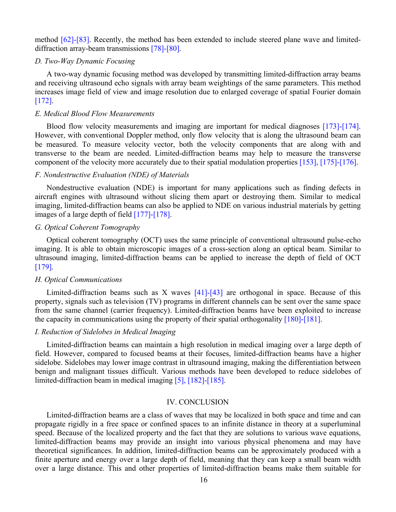method [\[62\]](#page-18-11)[-\[83\]](#page-19-1). Recently, the method has been extended to include steered plane wave and limiteddiffraction array-beam transmissions [\[78\]-](#page-19-3)[\[80\].](#page-19-5)

# *D. Two-Way Dynamic Focusing*

A two-way dynamic focusing method was developed by transmitting limited-diffraction array beams and receiving ultrasound echo signals with array beam weightings of the same parameters. This method increases image field of view and image resolution due to enlarged coverage of spatial Fourier domain [\[172\].](#page-23-5)

# *E. Medical Blood Flow Measurements*

Blood flow velocity measurements and imaging are important for medical diagnoses [\[173\]-](#page-23-6)[\[174\].](#page-23-7) However, with conventional Doppler method, only flow velocity that is along the ultrasound beam can be measured. To measure velocity vector, both the velocity components that are along with and transverse to the beam are needed. Limited-diffraction beams may help to measure the transverse component of the velocity more accurately due to their spatial modulation properties [\[153\]](#page-22-12), [\[175\]](#page-23-8)[-\[176\]](#page-23-9).

# *F. Nondestructive Evaluation (NDE) of Materials*

Nondestructive evaluation (NDE) is important for many applications such as finding defects in aircraft engines with ultrasound without slicing them apart or destroying them. Similar to medical imaging, limited-diffraction beams can also be applied to NDE on various industrial materials by getting images of a large depth of field [\[177\]-](#page-23-10)[\[178\].](#page-23-11)

## *G. Optical Coherent Tomography*

Optical coherent tomography (OCT) uses the same principle of conventional ultrasound pulse-echo imaging. It is able to obtain microscopic images of a cross-section along an optical beam. Similar to ultrasound imaging, limited-diffraction beams can be applied to increase the depth of field of OCT [\[179\].](#page-23-12)

#### *H. Optical Communications*

Limited-diffraction beams such as X waves  $[41]$ - $[43]$  are orthogonal in space. Because of this property, signals such as television (TV) programs in different channels can be sent over the same space from the same channel (carrier frequency). Limited-diffraction beams have been exploited to increase the capacity in communications using the property of their spatial orthogonality [\[180\]-](#page-23-13)[\[181\].](#page-23-14)

# *I. Reduction of Sidelobes in Medical Imaging*

Limited-diffraction beams can maintain a high resolution in medical imaging over a large depth of field. However, compared to focused beams at their focuses, limited-diffraction beams have a higher sidelobe. Sidelobes may lower image contrast in ultrasound imaging, making the differentiation between benign and malignant tissues difficult. Various methods have been developed to reduce sidelobes of limited-diffraction beam in medical imaging [\[5\]](#page-16-3), [\[182\]](#page-23-15)[-\[185\]](#page-24-0).

## IV. CONCLUSION

Limited-diffraction beams are a class of waves that may be localized in both space and time and can propagate rigidly in a free space or confined spaces to an infinite distance in theory at a superluminal speed. Because of the localized property and the fact that they are solutions to various wave equations, limited-diffraction beams may provide an insight into various physical phenomena and may have theoretical significances. In addition, limited-diffraction beams can be approximately produced with a finite aperture and energy over a large depth of field, meaning that they can keep a small beam width over a large distance. This and other properties of limited-diffraction beams make them suitable for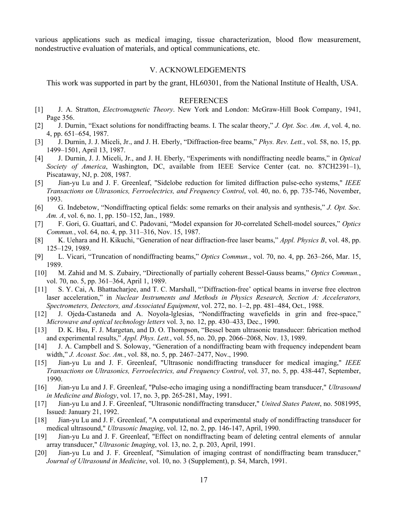various applications such as medical imaging, tissue characterization, blood flow measurement, nondestructive evaluation of materials, and optical communications, etc.

#### V. ACKNOWLEDGEMENTS

This work was supported in part by the grant, HL60301, from the National Institute of Health, USA.

#### REFERENCES

- <span id="page-16-0"></span>[1] J. A. Stratton, *Electromagnetic Theory*. New York and London: McGraw-Hill Book Company, 1941, Page 356.
- <span id="page-16-1"></span>[2] J. Durnin, "Exact solutions for nondiffracting beams. I. The scalar theory," *J. Opt. Soc. Am. A*, vol. 4, no. 4, pp. 651–654, 1987.
- [3] J. Durnin, J. J. Miceli, Jr., and J. H. Eberly, "Diffraction-free beams," *Phys. Rev. Lett.*, vol. 58, no. 15, pp. 1499–1501, April 13, 1987.
- <span id="page-16-2"></span>[4] J. Durnin, J. J. Miceli, Jr., and J. H. Eberly, "Experiments with nondiffracting needle beams," in *Optical Society of America*, Washington, DC, available from IEEE Service Center (cat. no. 87CH2391–1), Piscataway, NJ, p. 208, 1987.
- <span id="page-16-3"></span>[5] Jian-yu Lu and J. F. Greenleaf, "Sidelobe reduction for limited diffraction pulse-echo systems," *IEEE Transactions on Ultrasonics, Ferroelectrics, and Frequency Control*, vol. 40, no. 6, pp. 735-746, November, 1993.
- <span id="page-16-4"></span>[6] G. Indebetow, "Nondiffracting optical fields: some remarks on their analysis and synthesis," *J. Opt. Soc. Am. A*, vol. 6, no. 1, pp. 150–152, Jan., 1989.
- [7] F. Gori, G. Guattari, and C. Padovani, "Model expansion for J0-correlated Schell-model sources," *Optics Commun.*, vol. 64, no. 4, pp. 311–316, Nov. 15, 1987.
- [8] K. Uehara and H. Kikuchi, "Generation of near diffraction-free laser beams," *Appl. Physics B*, vol. 48, pp. 125–129, 1989.
- [9] L. Vicari, "Truncation of nondiffracting beams," *Optics Commun.*, vol. 70, no. 4, pp. 263–266, Mar. 15, 1989.
- [10] M. Zahid and M. S. Zubairy, "Directionally of partially coherent Bessel-Gauss beams," *Optics Commun.*, vol. 70, no. 5, pp. 361–364, April 1, 1989.
- [11] S. Y. Cai, A. Bhattacharjee, and T. C. Marshall, "'Diffraction-free' optical beams in inverse free electron laser acceleration," in *Nuclear Instruments and Methods in Physics Research, Section A: Accelerators, Spectrometers, Detectors, and Associated Equipment*, vol. 272, no. 1–2, pp. 481–484, Oct., 1988.
- [12] J. Ojeda-Castaneda and A. Noyola-lglesias, "Nondiffracting wavefields in grin and free-space," *Microwave and optical technology letters* vol. 3, no. 12, pp. 430–433, Dec., 1990.
- [13] D. K. Hsu, F. J. Margetan, and D. O. Thompson, "Bessel beam ultrasonic transducer: fabrication method and experimental results," *Appl. Phys. Lett.*, vol. 55, no. 20, pp. 2066–2068, Nov. 13, 1989.
- <span id="page-16-5"></span>[14] J. A. Campbell and S. Soloway, "Generation of a nondiffracting beam with frequency independent beam width," *J. Acoust. Soc. Am.*, vol. 88, no. 5, pp. 2467–2477, Nov., 1990.
- <span id="page-16-6"></span>[15] Jian-yu Lu and J. F. Greenleaf, "Ultrasonic nondiffracting transducer for medical imaging," *IEEE Transactions on Ultrasonics, Ferroelectrics, and Frequency Control*, vol. 37, no. 5, pp. 438-447, September, 1990.
- <span id="page-16-7"></span>[16] Jian-yu Lu and J. F. Greenleaf, "Pulse-echo imaging using a nondiffracting beam transducer," *Ultrasound in Medicine and Biology*, vol. 17, no. 3, pp. 265-281, May, 1991.
- <span id="page-16-8"></span>[17] Jian-yu Lu and J. F. Greenleaf, "Ultrasonic nondiffracting transducer," *United States Patent*, no. 5081995, Issued: January 21, 1992.
- <span id="page-16-9"></span>[18] Jian-yu Lu and J. F. Greenleaf, "A computational and experimental study of nondiffracting transducer for medical ultrasound," *Ultrasonic Imaging*, vol. 12, no. 2, pp. 146-147, April, 1990.
- [19] Jian-yu Lu and J. F. Greenleaf, "Effect on nondiffracting beam of deleting central elements of annular array transducer," *Ultrasonic Imaging*, vol. 13, no. 2, p. 203, April, 1991.
- [20] Jian-yu Lu and J. F. Greenleaf, "Simulation of imaging contrast of nondiffracting beam transducer," *Journal of Ultrasound in Medicine*, vol. 10, no. 3 (Supplement), p. S4, March, 1991.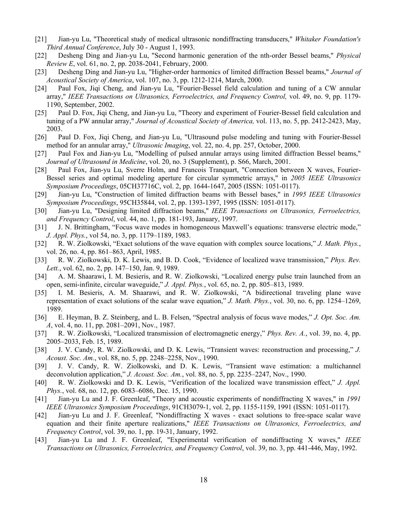- <span id="page-17-7"></span>[21] Jian-yu Lu, "Theoretical study of medical ultrasonic nondiffracting transducers," *Whitaker Foundation's Third Annual Conference*, July 30 - August 1, 1993.
- <span id="page-17-8"></span>[22] Desheng Ding and Jian-yu Lu, "Second harmonic generation of the nth-order Bessel beams," *Physical Review E*, vol. 61, no. 2, pp. 2038-2041, February, 2000.
- <span id="page-17-9"></span>[23] Desheng Ding and Jian-yu Lu, "Higher-order harmonics of limited diffraction Bessel beams," *Journal of Acoustical Society of America*, vol. 107, no. 3, pp. 1212-1214, March, 2000.
- <span id="page-17-11"></span>[24] Paul Fox, Jiqi Cheng, and Jian-yu Lu, "Fourier-Bessel field calculation and tuning of a CW annular array," *IEEE Transactions on Ultrasonics, Ferroelectrics, and Frequency Control,* vol. 49, no. 9, pp. 1179- 1190, September, 2002.
- [25] Paul D. Fox, Jiqi Cheng, and Jian-yu Lu, "Theory and experiment of Fourier-Bessel field calculation and tuning of a PW annular array," *Journal of Acoustical Society of America,* vol. 113, no. 5, pp. 2412-2423, May, 2003.
- [26] Paul D. Fox, Jiqi Cheng, and Jian-yu Lu, "Ultrasound pulse modeling and tuning with Fourier-Bessel method for an annular array," *Ultrasonic Imaging*, vol. 22, no. 4, pp. 257, October, 2000.
- <span id="page-17-12"></span>[27] Paul Fox and Jian-yu Lu, "Modelling of pulsed annular arrays using limited diffraction Bessel beams," *Journal of Ultrasound in Medicine*, vol. 20, no. 3 (Supplement), p. S66, March, 2001.
- <span id="page-17-13"></span>[28] Paul Fox, Jian-yu Lu, Sverre Holm, and Francois Tranquart, "Connection between X waves, Fourier-Bessel series and optimal modeling aperture for circular symmetric arrays," in *2005 IEEE Ultrasonics Symposium Proceedings*, 05CH37716C, vol. 2, pp. 1644-1647, 2005 (ISSN: 1051-0117).
- <span id="page-17-10"></span>[29] Jian-yu Lu, "Construction of limited diffraction beams with Bessel bases," in *1995 IEEE Ultrasonics Symposium Proceedings*, 95CH35844, vol. 2, pp. 1393-1397, 1995 (ISSN: 1051-0117).
- <span id="page-17-0"></span>[30] Jian-yu Lu, "Designing limited diffraction beams," *IEEE Transactions on Ultrasonics, Ferroelectrics, and Frequency Control*, vol. 44, no. 1, pp. 181-193, January, 1997.
- <span id="page-17-1"></span>[31] J. N. Brittingham, "Focus wave modes in homogeneous Maxwell's equations: transverse electric mode," *J. Appl. Phys.*, vol 54, no. 3, pp. 1179–1189, 1983.
- <span id="page-17-2"></span>[32] R. W. Ziolkowski, "Exact solutions of the wave equation with complex source locations," *J. Math. Phys.*, vol. 26, no. 4, pp. 861–863, April, 1985.
- [33] R. W. Ziolkowski, D. K. Lewis, and B. D. Cook, "Evidence of localized wave transmission," *Phys. Rev. Lett.*, vol. 62, no. 2, pp. 147–150, Jan. 9, 1989.
- [34] A. M. Shaarawi, I. M. Besieris, and R. W. Ziolkowski, "Localized energy pulse train launched from an open, semi-infinite, circular waveguide," *J. Appl. Phys.*, vol. 65, no. 2, pp. 805–813, 1989.
- [35] I. M. Besieris, A. M. Shaarawi, and R. W. Ziolkowski, "A bidirectional traveling plane wave representation of exact solutions of the scalar wave equation," *J. Math. Phys.*, vol. 30, no. 6, pp. 1254–1269, 1989.
- [36] E. Heyman, B. Z. Steinberg, and L. B. Felsen, "Spectral analysis of focus wave modes," *J. Opt. Soc. Am. A*, vol. 4, no. 11, pp. 2081–2091, Nov., 1987.
- [37] R. W. Ziolkowski, "Localized transmission of electromagnetic energy," *Phys. Rev. A.*, vol. 39, no. 4, pp. 2005–2033, Feb. 15, 1989.
- [38] J. V. Candy, R. W. Ziolkowski, and D. K. Lewis, "Transient waves: reconstruction and processing," *J. Acoust. Soc. Am.*, vol. 88, no. 5, pp. 2248–2258, Nov., 1990.
- [39] J. V. Candy, R. W. Ziolkowski, and D. K. Lewis, "Transient wave estimation: a multichannel deconvolution application," *J. Acoust. Soc. Am.*, vol. 88, no. 5, pp. 2235–2247, Nov., 1990.
- <span id="page-17-3"></span>[40] R. W. Ziolkowski and D. K. Lewis, "Verification of the localized wave transmission effect," *J. Appl. Phys.*, vol. 68, no. 12, pp. 6083–6086, Dec. 15, 1990.
- <span id="page-17-4"></span>[41] Jian-yu Lu and J. F. Greenleaf, "Theory and acoustic experiments of nondiffracting X waves," in *1991 IEEE Ultrasonics Symposium Proceedings*, 91CH3079-1, vol. 2, pp. 1155-1159, 1991 (ISSN: 1051-0117).
- <span id="page-17-6"></span>[42] Jian-yu Lu and J. F. Greenleaf, "Nondiffracting X waves - exact solutions to free-space scalar wave equation and their finite aperture realizations," *IEEE Transactions on Ultrasonics, Ferroelectrics, and Frequency Control*, vol. 39, no. 1, pp. 19-31, January, 1992.
- <span id="page-17-5"></span>[43] Jian-yu Lu and J. F. Greenleaf, "Experimental verification of nondiffracting X waves," *IEEE Transactions on Ultrasonics, Ferroelectrics, and Frequency Control*, vol. 39, no. 3, pp. 441-446, May, 1992.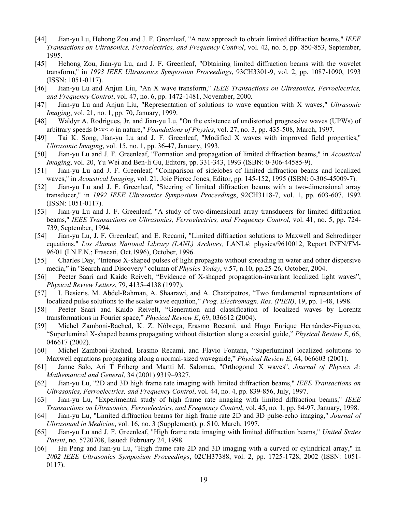- <span id="page-18-0"></span>[44] Jian-yu Lu, Hehong Zou and J. F. Greenleaf, "A new approach to obtain limited diffraction beams," *IEEE Transactions on Ultrasonics, Ferroelectrics, and Frequency Control*, vol. 42, no. 5, pp. 850-853, September, 1995.
- [45] Hehong Zou, Jian-yu Lu, and J. F. Greenleaf, "Obtaining limited diffraction beams with the wavelet transform," in *1993 IEEE Ultrasonics Symposium Proceedings*, 93CH3301-9, vol. 2, pp. 1087-1090, 1993 (ISSN: 1051-0117).
- <span id="page-18-8"></span>[46] Jian-yu Lu and Anjun Liu, "An X wave transform," *IEEE Transactions on Ultrasonics, Ferroelectrics, and Frequency Control*, vol. 47, no. 6, pp. 1472-1481, November, 2000.
- <span id="page-18-9"></span>[47] Jian-yu Lu and Anjun Liu, "Representation of solutions to wave equation with X waves," *Ultrasonic Imaging*, vol. 21, no. 1, pp. 70, January, 1999.
- [48] Waldyr A. Rodrigues, Jr. and Jian-yu Lu, "On the existence of undistorted progressive waves (UPWs) of arbitrary speeds 0<v<∞ in nature," *Foundations of Physics*, vol. 27, no. 3, pp. 435-508, March, 1997.
- [49] Tai K. Song, Jian-yu Lu and J. F. Greenleaf, "Modified X waves with improved field properties," *Ultrasonic Imaging*, vol. 15, no. 1, pp. 36-47, January, 1993.
- [50] Jian-yu Lu and J. F. Greenleaf, "Formation and propagation of limited diffraction beams," in *Acoustical Imaging*, vol. 20, Yu Wei and Ben-li Gu, Editors, pp. 331-343, 1993 (ISBN: 0-306-44585-9).
- [51] Jian-yu Lu and J. F. Greenleaf, "Comparison of sidelobes of limited diffraction beams and localized waves," in *Acoustical Imaging*, vol. 21, Joie Pierce Jones, Editor, pp. 145-152, 1995 (ISBN: 0-306-45009-7).
- [52] Jian-yu Lu and J. F. Greenleaf, "Steering of limited diffraction beams with a two-dimensional array transducer," in *1992 IEEE Ultrasonics Symposium Proceedings*, 92CH3118-7, vol. 1, pp. 603-607, 1992 (ISSN: 1051-0117).
- <span id="page-18-12"></span>[53] Jian-yu Lu and J. F. Greenleaf, "A study of two-dimensional array transducers for limited diffraction beams," *IEEE Transactions on Ultrasonics, Ferroelectrics, and Frequency Control*, vol. 41, no. 5, pp. 724- 739, September, 1994.
- <span id="page-18-1"></span>[54] Jian-yu Lu, J. F. Greenleaf, and E. Recami, "Limited diffraction solutions to Maxwell and Schrodinger equations," *Los Alamos National Library (LANL) Archives,* LANL#: physics/9610012, Report INFN/FM-96/01 (I.N.F.N.; Frascati, Oct.1996), October, 1996.
- <span id="page-18-2"></span>[55] Charles Day, "Intense X-shaped pulses of light propagate without spreading in water and other dispersive media," in "Search and Discovery" column of *Physics Today*, v.57, n.10, pp.25-26, October, 2004.
- <span id="page-18-3"></span>[56] Peeter Saari and Kaido Reivelt, "Evidence of X-shaped propagation-invariant localized light waves", *Physical Review Letters*, 79, 4135–4138 (1997).
- <span id="page-18-4"></span>[57] I. Besieris, M. Abdel-Rahman, A. Shaarawi, and A. Chatzipetros, "Two fundamental representations of localized pulse solutions to the scalar wave equation," *Prog. Electromagn. Res. (PIER)*, 19, pp. 1-48, 1998.
- <span id="page-18-5"></span>[58] Peeter Saari and Kaido Reivelt, "Generation and classification of localized waves by Lorentz transformations in Fourier space," *Physical Review E*, 69, 036612 (2004).
- <span id="page-18-6"></span>[59] Michel Zamboni-Rached, K. Z. Nóbrega, Erasmo Recami, and Hugo Enrique Hernández-Figueroa, "Superluminal X-shaped beams propagating without distortion along a coaxial guide," *Physical Review E*, 66, 046617 (2002).
- <span id="page-18-7"></span>[60] Michel Zamboni-Rached, Erasmo Recami, and Flavio Fontana, "Superluminal localized solutions to Maxwell equations propagating along a normal-sized waveguide," *Physical Review E*, 64, 066603 (2001).
- <span id="page-18-10"></span>[61] Janne Salo, Ari T Friberg and Martti M. Salomaa, "Orthogonal X waves", *Journal of Physics A: Mathematical and General*, 34 (2001) 9319–9327.
- <span id="page-18-11"></span>[62] Jian-yu Lu, "2D and 3D high frame rate imaging with limited diffraction beams," *IEEE Transactions on Ultrasonics, Ferroelectrics, and Frequency Control*, vol. 44, no. 4, pp. 839-856, July, 1997.
- <span id="page-18-13"></span>[63] Jian-yu Lu, "Experimental study of high frame rate imaging with limited diffraction beams," *IEEE Transactions on Ultrasonics, Ferroelectrics, and Frequency Control*, vol. 45, no. 1, pp. 84-97, January, 1998.
- [64] Jian-yu Lu, "Limited diffraction beams for high frame rate 2D and 3D pulse-echo imaging," *Journal of Ultrasound in Medicine*, vol. 16, no. 3 (Supplement), p. S10, March, 1997.
- [65] Jian-yu Lu and J. F. Greenleaf, "High frame rate imaging with limited diffraction beams," *United States Patent*, no. 5720708, Issued: February 24, 1998.
- [66] Hu Peng and Jian-yu Lu, "High frame rate 2D and 3D imaging with a curved or cylindrical array," in *2002 IEEE Ultrasonics Symposium Proceedings*, 02CH37388, vol. 2, pp. 1725-1728, 2002 (ISSN: 1051- 0117).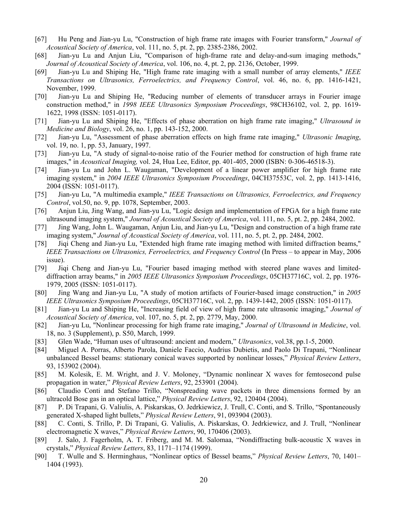- [67] Hu Peng and Jian-yu Lu, "Construction of high frame rate images with Fourier transform," *Journal of Acoustical Society of America*, vol. 111, no. 5, pt. 2, pp. 2385-2386, 2002.
- [68] Jian-yu Lu and Anjun Liu, "Comparison of high-frame rate and delay-and-sum imaging methods," *Journal of Acoustical Society of America*, vol. 106, no. 4, pt. 2, pp. 2136, October, 1999.
- [69] Jian-yu Lu and Shiping He, "High frame rate imaging with a small number of array elements," *IEEE Transactions on Ultrasonics, Ferroelectrics, and Frequency Control*, vol. 46, no. 6, pp. 1416-1421, November, 1999.
- [70] Jian-yu Lu and Shiping He, "Reducing number of elements of transducer arrays in Fourier image construction method," in *1998 IEEE Ultrasonics Symposium Proceedings*, 98CH36102, vol. 2, pp. 1619- 1622, 1998 (ISSN: 1051-0117).
- [71] Jian-yu Lu and Shiping He, "Effects of phase aberration on high frame rate imaging," *Ultrasound in Medicine and Biology*, vol. 26, no. 1, pp. 143-152, 2000.
- [72] Jian-yu Lu, "Assessment of phase aberration effects on high frame rate imaging," *Ultrasonic Imaging*, vol. 19, no. 1, pp. 53, January, 1997.
- [73] Jian-yu Lu, "A study of signal-to-noise ratio of the Fourier method for construction of high frame rate images," in *Acoustical Imaging,* vol. 24, Hua Lee, Editor, pp. 401-405, 2000 (ISBN: 0-306-46518-3).
- [74] Jian-yu Lu and John L. Waugaman, "Development of a linear power amplifier for high frame rate imaging system," in *2004 IEEE Ultrasonics Symposium Proceedings*, 04CH37553C, vol. 2, pp. 1413-1416, 2004 (ISSN: 1051-0117).
- [75] Jian-yu Lu, "A multimedia example," *IEEE Transactions on Ultrasonics, Ferroelectrics, and Frequency Control*, vol.50, no. 9, pp. 1078, September, 2003.
- [76] Anjun Liu, Jing Wang, and Jian-yu Lu, "Logic design and implementation of FPGA for a high frame rate ultrasound imaging system," *Journal of Acoustical Society of America*, vol. 111, no. 5, pt. 2, pp. 2484, 2002.
- [77] Jing Wang, John L. Waugaman, Anjun Liu, and Jian-yu Lu, "Design and construction of a high frame rate imaging system," *Journal of Acoustical Society of America*, vol. 111, no. 5, pt. 2, pp. 2484, 2002.
- <span id="page-19-3"></span>[78] Jiqi Cheng and Jian-yu Lu, "Extended high frame rate imaging method with limited diffraction beams," *IEEE Transactions on Ultrasonics, Ferroelectrics, and Frequency Control* (In Press – to appear in May, 2006 issue).
- <span id="page-19-4"></span>[79] Jiqi Cheng and Jian-yu Lu, "Fourier based imaging method with steered plane waves and limiteddiffraction array beams," in *2005 IEEE Ultrasonics Symposium Proceedings*, 05CH37716C, vol. 2, pp. 1976- 1979, 2005 (ISSN: 1051-0117).
- <span id="page-19-5"></span>[80] Jing Wang and Jian-yu Lu, "A study of motion artifacts of Fourier-based image construction," in *2005 IEEE Ultrasonics Symposium Proceedings*, 05CH37716C, vol. 2, pp. 1439-1442, 2005 (ISSN: 1051-0117).
- [81] Jian-yu Lu and Shiping He, "Increasing field of view of high frame rate ultrasonic imaging," *Journal of Acoustical Society of America*, vol. 107, no. 5, pt. 2, pp. 2779, May, 2000.
- <span id="page-19-0"></span>[82] Jian-yu Lu, "Nonlinear processing for high frame rate imaging," *Journal of Ultrasound in Medicine*, vol. 18, no. 3 (Supplement), p. S50, March, 1999.
- <span id="page-19-1"></span>[83] Glen Wade, "Human uses of ultrasound: ancient and modern," *Ultrasonics*, vol.38, pp.1-5, 2000.
- <span id="page-19-2"></span>[84] Miguel A. Porras, Alberto Parola, Daniele Faccio, Audrius Dubietis, and Paolo Di Trapani, "Nonlinear unbalanced Bessel beams: stationary conical waves supported by nonlinear losses," *Physical Review Letters*, 93, 153902 (2004).
- [85] M. Kolesik, E. M. Wright, and J. V. Moloney, "Dynamic nonlinear X waves for femtosecond pulse propagation in water," *Physical Review Letters*, 92, 253901 (2004).
- [86] Claudio Conti and Stefano Trillo, "Nonspreading wave packets in three dimensions formed by an ultracold Bose gas in an optical lattice," *Physical Review Letters*, 92, 120404 (2004).
- [87] P. Di Trapani, G. Valiulis, A. Piskarskas, O. Jedrkiewicz, J. Trull, C. Conti, and S. Trillo, "Spontaneously generated X-shaped light bullets," *Physical Review Letters*, 91, 093904 (2003).
- [88] C. Conti, S. Trillo, P. Di Trapani, G. Valiulis, A. Piskarskas, O. Jedrkiewicz, and J. Trull, "Nonlinear electromagnetic X waves," *Physical Review Letters*, 90, 170406 (2003).
- [89] J. Salo, J. Fagerholm, A. T. Friberg, and M. M. Salomaa, "Nondiffracting bulk-acoustic X waves in crystals," *Physical Review Letters*, 83, 1171–1174 (1999).
- [90] T. Wulle and S. Herminghaus, "Nonlinear optics of Bessel beams," *Physical Review Letters*, 70, 1401– 1404 (1993).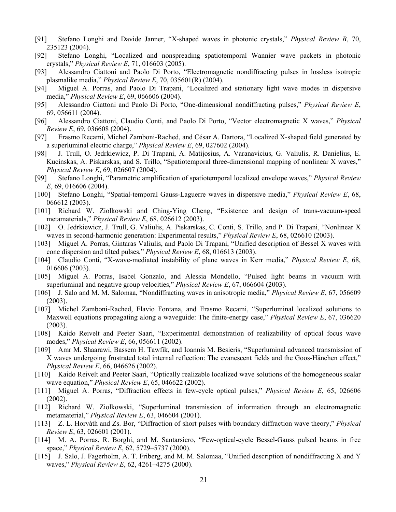- [91] Stefano Longhi and Davide Janner, "X-shaped waves in photonic crystals," *Physical Review B*, 70, 235123 (2004).
- [92] Stefano Longhi, "Localized and nonspreading spatiotemporal Wannier wave packets in photonic crystals," *Physical Review E*, 71, 016603 (2005).
- [93] Alessandro Ciattoni and Paolo Di Porto, "Electromagnetic nondiffracting pulses in lossless isotropic plasmalike media," *Physical Review E*, 70, 035601(R) (2004).
- [94] Miguel A. Porras, and Paolo Di Trapani, "Localized and stationary light wave modes in dispersive media," *Physical Review E*, 69, 066606 (2004).
- [95] Alessandro Ciattoni and Paolo Di Porto, "One-dimensional nondiffracting pulses," *Physical Review E*, 69, 056611 (2004).
- [96] Alessandro Ciattoni, Claudio Conti, and Paolo Di Porto, "Vector electromagnetic X waves," *Physical Review E*, 69, 036608 (2004).
- [97] Erasmo Recami, Michel Zamboni-Rached, and César A. Dartora, "Localized X-shaped field generated by a superluminal electric charge," *Physical Review E*, 69, 027602 (2004).
- [98] J. Trull, O. Jedrkiewicz, P. Di Trapani, A. Matijosius, A. Varanavicius, G. Valiulis, R. Danielius, E. Kucinskas, A. Piskarskas, and S. Trillo, "Spatiotemporal three-dimensional mapping of nonlinear X waves," *Physical Review E*, 69, 026607 (2004).
- [99] Stefano Longhi, "Parametric amplification of spatiotemporal localized envelope waves," *Physical Review E*, 69, 016606 (2004).
- [100] Stefano Longhi, "Spatial-temporal Gauss-Laguerre waves in dispersive media," *Physical Review E*, 68, 066612 (2003).
- [101] Richard W. Ziolkowski and Ching-Ying Cheng, "Existence and design of trans-vacuum-speed metamaterials," *Physical Review E*, 68, 026612 (2003).
- [102] O. Jedrkiewicz, J. Trull, G. Valiulis, A. Piskarskas, C. Conti, S. Trillo, and P. Di Trapani, "Nonlinear X waves in second-harmonic generation: Experimental results," *Physical Review E*, 68, 026610 (2003).
- [103] Miguel A. Porras, Gintaras Valiulis, and Paolo Di Trapani, "Unified description of Bessel X waves with cone dispersion and tilted pulses," *Physical Review E*, 68, 016613 (2003).
- [104] Claudio Conti, "X-wave-mediated instability of plane waves in Kerr media," *Physical Review E*, 68, 016606 (2003).
- [105] Miguel A. Porras, Isabel Gonzalo, and Alessia Mondello, "Pulsed light beams in vacuum with superluminal and negative group velocities," *Physical Review E*, 67, 066604 (2003).
- [106] J. Salo and M. M. Salomaa, "Nondiffracting waves in anisotropic media," *Physical Review E*, 67, 056609 (2003).
- [107] Michel Zamboni-Rached, Flavio Fontana, and Erasmo Recami, "Superluminal localized solutions to Maxwell equations propagating along a waveguide: The finite-energy case," *Physical Review E*, 67, 036620 (2003).
- [108] Kaido Reivelt and Peeter Saari, "Experimental demonstration of realizability of optical focus wave modes," *Physical Review E*, 66, 056611 (2002).
- [109] Amr M. Shaarawi, Bassem H. Tawfik, and Ioannis M. Besieris, "Superluminal advanced transmission of X waves undergoing frustrated total internal reflection: The evanescent fields and the Goos-Hänchen effect," *Physical Review E*, 66, 046626 (2002).
- [110] Kaido Reivelt and Peeter Saari, "Optically realizable localized wave solutions of the homogeneous scalar wave equation," *Physical Review E*, 65, 046622 (2002).
- [111] Miguel A. Porras, "Diffraction effects in few-cycle optical pulses," *Physical Review E*, 65, 026606 (2002).
- [112] Richard W. Ziolkowski, "Superluminal transmission of information through an electromagnetic metamaterial," *Physical Review E*, 63, 046604 (2001).
- [113] Z. L. Horváth and Zs. Bor, "Diffraction of short pulses with boundary diffraction wave theory," *Physical Review E*, 63, 026601 (2001).
- [114] M. A. Porras, R. Borghi, and M. Santarsiero, "Few-optical-cycle Bessel-Gauss pulsed beams in free space," *Physical Review E*, 62, 5729–5737 (2000).
- [115] J. Salo, J. Fagerholm, A. T. Friberg, and M. M. Salomaa, "Unified description of nondiffracting X and Y waves," *Physical Review E*, 62, 4261–4275 (2000).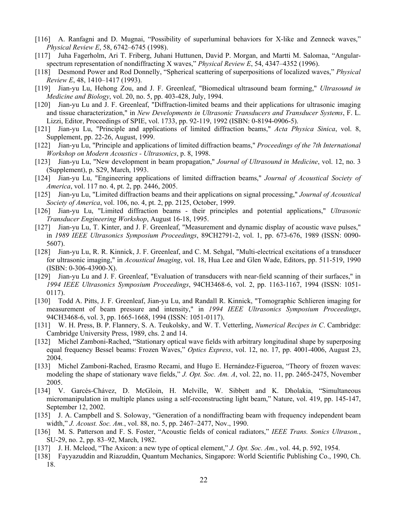- [116] A. Ranfagni and D. Mugnai, "Possibility of superluminal behaviors for X-like and Zenneck waves," *Physical Review E*, 58, 6742–6745 (1998).
- [117] Juha Fagerholm, Ari T. Friberg, Juhani Huttunen, David P. Morgan, and Martti M. Salomaa, "Angularspectrum representation of nondiffracting X waves," *Physical Review E*, 54, 4347–4352 (1996).
- <span id="page-21-0"></span>[118] Desmond Power and Rod Donnelly, "Spherical scattering of superpositions of localized waves," *Physical Review E*, 48, 1410–1417 (1993).
- <span id="page-21-1"></span>[119] Jian-yu Lu, Hehong Zou, and J. F. Greenleaf, "Biomedical ultrasound beam forming," *Ultrasound in Medicine and Biology*, vol. 20, no. 5, pp. 403-428, July, 1994.
- [120] Jian-yu Lu and J. F. Greenleaf, "Diffraction-limited beams and their applications for ultrasonic imaging and tissue characterization," in *New Developments in Ultrasonic Transducers and Transducer Systems*, F. L. Lizzi, Editor, Proceedings of SPIE, vol. 1733, pp. 92-119, 1992 (ISBN: 0-8194-0906-5).
- [121] Jian-yu Lu, "Principle and applications of limited diffraction beams," *Acta Physica Sinica*, vol. 8, Supplement, pp. 22-26, August, 1999.
- [122] Jian-yu Lu, "Principle and applications of limited diffraction beams," *Proceedings of the 7th International Workshop on Modern Acoustics - Ultrasonics*, p. 8, 1998.
- [123] Jian-yu Lu, "New development in beam propagation," *Journal of Ultrasound in Medicine*, vol. 12, no. 3 (Supplement), p. S29, March, 1993.
- [124] Jian-yu Lu, "Engineering applications of limited diffraction beams," *Journal of Acoustical Society of America*, vol. 117 no. 4, pt. 2, pp. 2446, 2005.
- [125] Jian-yu Lu, "Limited diffraction beams and their applications on signal processing," *Journal of Acoustical Society of America*, vol. 106, no. 4, pt. 2, pp. 2125, October, 1999.
- <span id="page-21-2"></span>[126] Jian-yu Lu, "Limited diffraction beams - their principles and potential applications," *Ultrasonic Transducer Engineering Workshop*, August 16-18, 1995.
- <span id="page-21-3"></span>[127] Jian-yu Lu, T. Kinter, and J. F. Greenleaf, "Measurement and dynamic display of acoustic wave pulses," in *1989 IEEE Ultrasonics Symposium Proceedings*, 89CH2791-2, vol. 1, pp. 673-676, 1989 (ISSN: 0090- 5607).
- [128] Jian-yu Lu, R. R. Kinnick, J. F. Greenleaf, and C. M. Sehgal, "Multi-electrical excitations of a transducer for ultrasonic imaging," in *Acoustical Imaging*, vol. 18, Hua Lee and Glen Wade, Editors, pp. 511-519, 1990 (ISBN: 0-306-43900-X).
- [129] Jian-yu Lu and J. F. Greenleaf, "Evaluation of transducers with near-field scanning of their surfaces," in *1994 IEEE Ultrasonics Symposium Proceedings*, 94CH3468-6, vol. 2, pp. 1163-1167, 1994 (ISSN: 1051- 0117).
- <span id="page-21-4"></span>[130] Todd A. Pitts, J. F. Greenleaf, Jian-yu Lu, and Randall R. Kinnick, "Tomographic Schlieren imaging for measurement of beam pressure and intensity," in *1994 IEEE Ultrasonics Symposium Proceedings*, 94CH3468-6, vol. 3, pp. 1665-1668, 1994 (ISSN: 1051-0117).
- <span id="page-21-5"></span>[131] W. H. Press, B. P. Flannery, S. A. Teukolsky, and W. T. Vetterling, *Numerical Recipes in C*. Cambridge: Cambridge University Press, 1989, chs. 2 and 14.
- <span id="page-21-6"></span>[132] Michel Zamboni-Rached, "Stationary optical wave fields with arbitrary longitudinal shape by superposing equal frequency Bessel beams: Frozen Waves," *Optics Express*, vol. 12, no. 17, pp. 4001-4006, August 23, 2004.
- <span id="page-21-7"></span>[133] Michel Zamboni-Rached, Erasmo Recami, and Hugo E. Hernández-Figueroa, "Theory of frozen waves: modeling the shape of stationary wave fields," *J. Opt. Soc. Am. A*, vol. 22, no. 11, pp. 2465-2475, November 2005.
- <span id="page-21-8"></span>[134] V. Garcés-Chávez, D. McGloin, H. Melville, W. Sibbett and K. Dholakia, "Simultaneous micromanipulation in multiple planes using a self-reconstructing light beam," Nature, vol. 419, pp. 145-147, September 12, 2002.
- <span id="page-21-9"></span>[135] J. A. Campbell and S. Soloway, "Generation of a nondiffracting beam with frequency independent beam width," *J. Acoust. Soc. Am.*, vol. 88, no. 5, pp. 2467–2477, Nov., 1990.
- <span id="page-21-10"></span>[136] M. S. Patterson and F. S. Foster, "Acoustic fields of conical radiators," *IEEE Trans. Sonics Ultrason.*, SU-29, no. 2, pp. 83–92, March, 1982.
- <span id="page-21-11"></span>[137] J. H. Mcleod, "The Axicon: a new type of optical element," *J. Opt. Soc. Am.*, vol. 44, p. 592, 1954.
- <span id="page-21-12"></span>[138] Fayyazuddin and Riazuddin, Quantum Mechanics, Singapore: World Scientific Publishing Co., 1990, Ch. 18.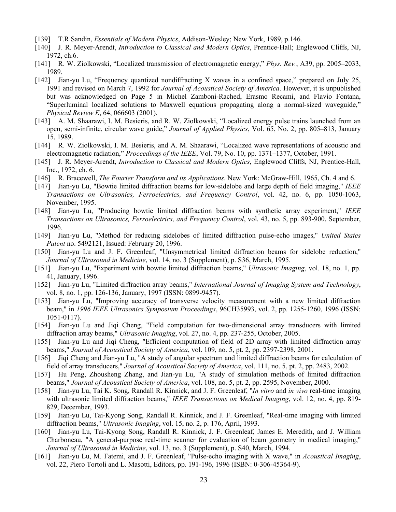- <span id="page-22-0"></span>[139] T.R.Sandin, *Essentials of Modern Physics*, Addison-Wesley; New York, 1989, p.146.
- <span id="page-22-1"></span>[140] J. R. Meyer-Arendt, *Introduction to Classical and Modern Optics*, Prentice-Hall; Englewood Cliffs, NJ, 1972, ch.6.
- <span id="page-22-2"></span>[141] R. W. Ziolkowski, "Localized transmission of electromagnetic energy," *Phys. Rev.*, A39, pp. 2005–2033, 1989.
- <span id="page-22-3"></span>[142] Jian-yu Lu, "Frequency quantized nondiffracting X waves in a confined space," prepared on July 25, 1991 and revised on March 7, 1992 for *Journal of Acoustical Society of America*. However, it is unpublished but was acknowledged on Page 5 in Michel Zamboni-Rached, Erasmo Recami, and Flavio Fontana, "Superluminal localized solutions to Maxwell equations propagating along a normal-sized waveguide," *Physical Review E*, 64, 066603 (2001).
- <span id="page-22-4"></span>[143] A. M. Shaarawi, I. M. Besieris, and R. W. Ziolkowski, "Localized energy pulse trains launched from an open, semi-infinite, circular wave guide," *Journal of Applied Physics*, Vol. 65, No. 2, pp. 805–813, January 15, 1989.
- <span id="page-22-5"></span>[144] R. W. Ziolkowski, I. M. Besieris, and A. M. Shaarawi, "Localized wave representations of acoustic and electromagnetic radiation," *Proceedings of the IEEE*, Vol. 79, No. 10, pp. 1371–1377, October, 1991.
- <span id="page-22-6"></span>[145] J. R. Meyer-Arendt, *Introduction to Classical and Modern Optics*, Englewood Cliffs, NJ, Prentice-Hall, Inc., 1972, ch. 6.
- <span id="page-22-7"></span>[146] R. Bracewell, *The Fourier Transform and its Applications*. New York: McGraw-Hill, 1965, Ch. 4 and 6.
- <span id="page-22-8"></span>[147] Jian-yu Lu, "Bowtie limited diffraction beams for low-sidelobe and large depth of field imaging," *IEEE Transactions on Ultrasonics, Ferroelectrics, and Frequency Control*, vol. 42, no. 6, pp. 1050-1063, November, 1995.
- [148] Jian-yu Lu, "Producing bowtie limited diffraction beams with synthetic array experiment," *IEEE Transactions on Ultrasonics, Ferroelectrics, and Frequency Control*, vol. 43, no. 5, pp. 893-900, September, 1996.
- [149] Jian-yu Lu, "Method for reducing sidelobes of limited diffraction pulse-echo images," *United States Patent* no. 5492121, Issued: February 20, 1996.
- [150] Jian-yu Lu and J. F. Greenleaf, "Unsymmetrical limited diffraction beams for sidelobe reduction," *Journal of Ultrasound in Medicine*, vol. 14, no. 3 (Supplement), p. S36, March, 1995.
- <span id="page-22-9"></span>[151] Jian-yu Lu, "Experiment with bowtie limited diffraction beams," *Ultrasonic Imaging*, vol. 18, no. 1, pp. 41, January, 1996.
- <span id="page-22-10"></span>[152] Jian-yu Lu, "Limited diffraction array beams," *International Journal of Imaging System and Technology*, vol. 8, no. 1, pp. 126-136, January, 1997 (ISSN: 0899-9457).
- <span id="page-22-12"></span>[153] Jian-yu Lu, "Improving accuracy of transverse velocity measurement with a new limited diffraction beam," in *1996 IEEE Ultrasonics Symposium Proceedings*, 96CH35993, vol. 2, pp. 1255-1260, 1996 (ISSN: 1051-0117).
- <span id="page-22-13"></span>[154] Jian-yu Lu and Jiqi Cheng, "Field computation for two-dimensional array transducers with limited diffraction array beams," *Ultrasonic Imaging*, vol. 27, no. 4, pp. 237-255, October, 2005.
- <span id="page-22-11"></span>[155] Jian-yu Lu and Jiqi Cheng, "Efficient computation of field of 2D array with limited diffraction array beams," *Journal of Acoustical Society of America*, vol. 109, no. 5, pt. 2, pp. 2397-2398, 2001.
- <span id="page-22-14"></span>[156] Jiqi Cheng and Jian-yu Lu, "A study of angular spectrum and limited diffraction beams for calculation of field of array transducers," *Journal of Acoustical Society of America*, vol. 111, no. 5, pt. 2, pp. 2483, 2002.
- <span id="page-22-15"></span>[157] Hu Peng, Zhousheng Zhang, and Jian-yu Lu, "A study of simulation methods of limited diffraction beams," *Journal of Acoustical Society of America*, vol. 108, no. 5, pt. 2, pp. 2595, November, 2000.
- <span id="page-22-16"></span>[158] Jian-yu Lu, Tai K. Song, Randall R. Kinnick, and J. F. Greenleaf, "*In vitro* and *in vivo* real-time imaging with ultrasonic limited diffraction beams," *IEEE Transactions on Medical Imaging*, vol. 12, no. 4, pp. 819- 829, December, 1993.
- [159] Jian-yu Lu, Tai-Kyong Song, Randall R. Kinnick, and J. F. Greenleaf, "Real-time imaging with limited diffraction beams," *Ultrasonic Imaging*, vol. 15, no. 2, p. 176, April, 1993.
- [160] Jian-yu Lu, Tai-Kyong Song, Randall R. Kinnick, J. F. Greenleaf, James E. Meredith, and J. William Charboneau, "A general-purpose real-time scanner for evaluation of beam geometry in medical imaging," *Journal of Ultrasound in Medicine*, vol. 13, no. 3 (Supplement), p. S40, March, 1994.
- [161] Jian-yu Lu, M. Fatemi, and J. F. Greenleaf, "Pulse-echo imaging with X wave," in *Acoustical Imaging*, vol. 22, Piero Tortoli and L. Masotti, Editors, pp. 191-196, 1996 (ISBN: 0-306-45364-9).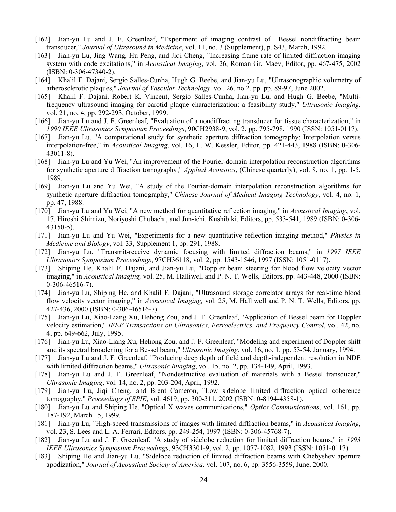- [162] Jian-yu Lu and J. F. Greenleaf, "Experiment of imaging contrast of Bessel nondiffracting beam transducer," *Journal of Ultrasound in Medicine*, vol. 11, no. 3 (Supplement), p. S43, March, 1992.
- <span id="page-23-0"></span>[163] Jian-yu Lu, Jing Wang, Hu Peng, and Jiqi Cheng, "Increasing frame rate of limited diffraction imaging system with code excitations," in *Acoustical Imaging*, vol. 26, Roman Gr. Maev, Editor, pp. 467-475, 2002 (ISBN: 0-306-47340-2).
- <span id="page-23-1"></span>[164] Khalil F. Dajani, Sergio Salles-Cunha, Hugh G. Beebe, and Jian-yu Lu, "Ultrasonographic volumetry of atherosclerotic plaques," *Journal of Vascular Technology* vol. 26, no.2, pp. pp. 89-97, June 2002.
- [165] Khalil F. Dajani, Robert K. Vincent, Sergio Salles-Cunha, Jian-yu Lu, and Hugh G. Beebe, "Multifrequency ultrasound imaging for carotid plaque characterization: a feasibility study," *Ultrasonic Imaging*, vol. 21, no. 4, pp. 292-293, October, 1999.
- <span id="page-23-2"></span>[166] Jian-yu Lu and J. F. Greenleaf, "Evaluation of a nondiffracting transducer for tissue characterization," in *1990 IEEE Ultrasonics Symposium Proceedings*, 90CH2938-9, vol. 2, pp. 795-798, 1990 (ISSN: 1051-0117).
- <span id="page-23-3"></span>[167] Jian-yu Lu, "A computational study for synthetic aperture diffraction tomography: Interpolation versus interpolation-free," in *Acoustical Imaging*, vol. 16, L. W. Kessler, Editor, pp. 421-443, 1988 (ISBN: 0-306- 43011-8).
- [168] Jian-yu Lu and Yu Wei, "An improvement of the Fourier-domain interpolation reconstruction algorithms for synthetic aperture diffraction tomography," *Applied Acoustics*, (Chinese quarterly), vol. 8, no. 1, pp. 1-5, 1989.
- [169] Jian-yu Lu and Yu Wei, "A study of the Fourier-domain interpolation reconstruction algorithms for synthetic aperture diffraction tomography," *Chinese Journal of Medical Imaging Technology*, vol. 4, no. 1, pp. 47, 1988.
- [170] Jian-yu Lu and Yu Wei, "A new method for quantitative reflection imaging," in *Acoustical Imaging*, vol. 17, Hiroshi Shimizu, Noriyoshi Chubachi, and Jun-ichi. Kushibiki, Editors, pp. 533-541, 1989 (ISBN: 0-306- 43150-5).
- <span id="page-23-4"></span>[171] Jian-yu Lu and Yu Wei, "Experiments for a new quantitative reflection imaging method," *Physics in Medicine and Biology*, vol. 33, Supplement 1, pp. 291, 1988.
- <span id="page-23-5"></span>[172] Jian-yu Lu, "Transmit-receive dynamic focusing with limited diffraction beams," in *1997 IEEE Ultrasonics Symposium Proceedings*, 97CH36118, vol. 2, pp. 1543-1546, 1997 (ISSN: 1051-0117).
- <span id="page-23-6"></span>[173] Shiping He, Khalil F. Dajani, and Jian-yu Lu, "Doppler beam steering for blood flow velocity vector imaging," in *Acoustical Imaging,* vol. 25, M. Halliwell and P. N. T. Wells, Editors, pp. 443-448, 2000 (ISBN: 0-306-46516-7).
- <span id="page-23-7"></span>[174] Jian-yu Lu, Shiping He, and Khalil F. Dajani, "Ultrasound storage correlator arrays for real-time blood flow velocity vector imaging," in *Acoustical Imaging,* vol. 25, M. Halliwell and P. N. T. Wells, Editors, pp. 427-436, 2000 (ISBN: 0-306-46516-7).
- <span id="page-23-8"></span>[175] Jian-yu Lu, Xiao-Liang Xu, Hehong Zou, and J. F. Greenleaf, "Application of Bessel beam for Doppler velocity estimation," *IEEE Transactions on Ultrasonics, Ferroelectrics, and Frequency Control*, vol. 42, no. 4, pp. 649-662, July, 1995.
- <span id="page-23-9"></span>[176] Jian-yu Lu, Xiao-Liang Xu, Hehong Zou, and J. F. Greenleaf, "Modeling and experiment of Doppler shift and its spectral broadening for a Bessel beam," *Ultrasonic Imaging*, vol. 16, no. 1, pp. 53-54, January, 1994.
- <span id="page-23-10"></span>[177] Jian-yu Lu and J. F. Greenleaf, "Producing deep depth of field and depth-independent resolution in NDE with limited diffraction beams," *Ultrasonic Imaging*, vol. 15, no. 2, pp. 134-149, April, 1993.
- <span id="page-23-11"></span>[178] Jian-yu Lu and J. F. Greenleaf, "Nondestructive evaluation of materials with a Bessel transducer," *Ultrasonic Imaging*, vol. 14, no. 2, pp. 203-204, April, 1992.
- <span id="page-23-12"></span>[179] Jian-yu Lu, Jiqi Cheng, and Brent Cameron, "Low sidelobe limited diffraction optical coherence tomography," *Proceedings of SPIE*, vol. 4619, pp. 300-311, 2002 (ISBN: 0-8194-4358-1).
- <span id="page-23-13"></span>[180] Jian-yu Lu and Shiping He, "Optical X waves communications," *Optics Communications*, vol. 161, pp. 187-192, March 15, 1999.
- <span id="page-23-14"></span>[181] Jian-yu Lu, "High-speed transmissions of images with limited diffraction beams," in *Acoustical Imaging*, vol. 23, S. Lees and L. A. Ferrari, Editors, pp. 249-254, 1997 (ISBN: 0-306-45768-7).
- <span id="page-23-15"></span>[182] Jian-yu Lu and J. F. Greenleaf, "A study of sidelobe reduction for limited diffraction beams," in *1993 IEEE Ultrasonics Symposium Proceedings*, 93CH3301-9, vol. 2, pp. 1077-1082, 1993 (ISSN: 1051-0117).
- [183] Shiping He and Jian-yu Lu, "Sidelobe reduction of limited diffraction beams with Chebyshev aperture apodization," *Journal of Acoustical Society of America,* vol. 107, no. 6, pp. 3556-3559, June, 2000.